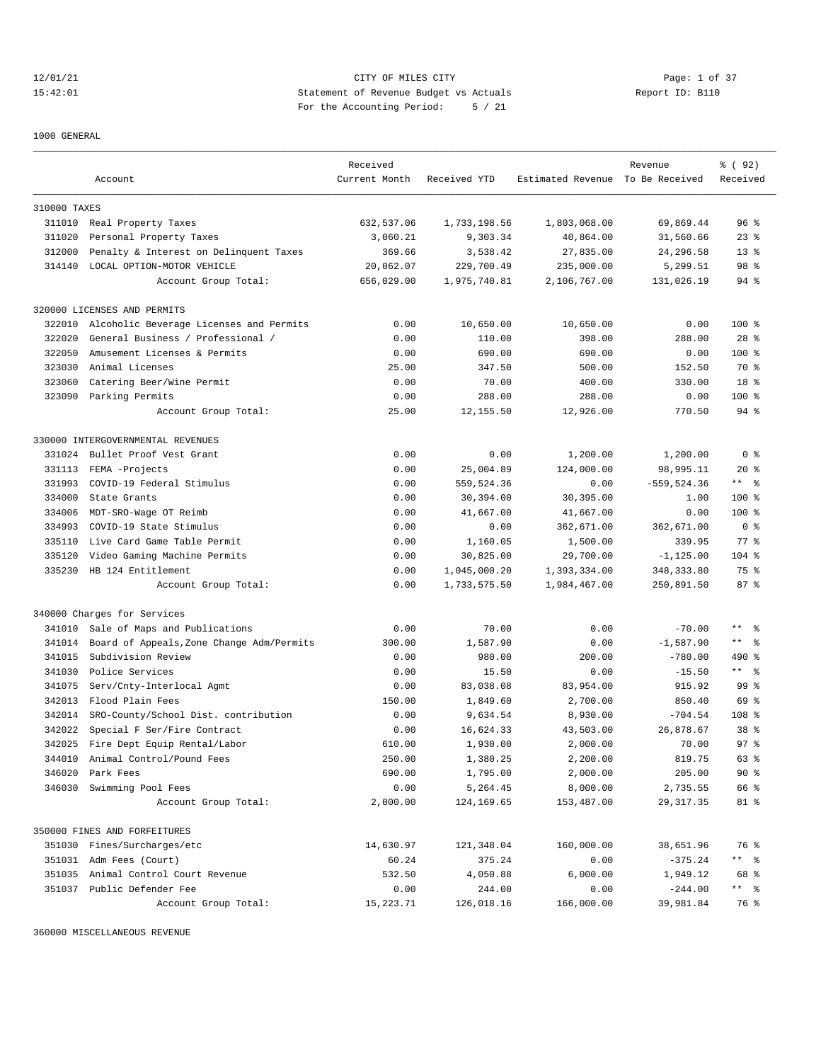12/01/21 CITY OF MILES CITY Page: 1 of 37 15:42:01 Statement of Revenue Budget vs Actuals Report ID: B110 For the Accounting Period: 5 / 21

1000 GENERAL

|              |                                           | Received      |              |                                  | Revenue        | <sub>है</sub> (92) |
|--------------|-------------------------------------------|---------------|--------------|----------------------------------|----------------|--------------------|
|              | Account                                   | Current Month | Received YTD | Estimated Revenue To Be Received |                | Received           |
|              |                                           |               |              |                                  |                |                    |
| 310000 TAXES |                                           |               |              |                                  |                |                    |
|              | 311010 Real Property Taxes                | 632,537.06    | 1,733,198.56 | 1,803,068.00                     | 69,869.44      | 96 <sup>8</sup>    |
| 311020       | Personal Property Taxes                   | 3,060.21      | 9,303.34     | 40,864.00                        | 31,560.66      | $23$ $%$           |
| 312000       | Penalty & Interest on Delinquent Taxes    | 369.66        | 3,538.42     | 27,835.00                        | 24,296.58      | $13*$              |
| 314140       | LOCAL OPTION-MOTOR VEHICLE                | 20,062.07     | 229,700.49   | 235,000.00                       | 5,299.51       | 98 %               |
|              | Account Group Total:                      | 656,029.00    | 1,975,740.81 | 2,106,767.00                     | 131,026.19     | $94$ %             |
|              | 320000 LICENSES AND PERMITS               |               |              |                                  |                |                    |
| 322010       | Alcoholic Beverage Licenses and Permits   | 0.00          | 10,650.00    | 10,650.00                        | 0.00           | $100$ %            |
| 322020       | General Business / Professional /         | 0.00          | 110.00       | 398.00                           | 288.00         | $28$ %             |
| 322050       | Amusement Licenses & Permits              | 0.00          | 690.00       | 690.00                           | 0.00           | $100$ %            |
| 323030       | Animal Licenses                           | 25.00         | 347.50       | 500.00                           | 152.50         | 70 %               |
| 323060       | Catering Beer/Wine Permit                 | 0.00          | 70.00        | 400.00                           | 330.00         | 18 %               |
|              | 323090 Parking Permits                    | 0.00          | 288.00       | 288.00                           | 0.00           | $100$ %            |
|              | Account Group Total:                      | 25.00         | 12,155.50    | 12,926.00                        | 770.50         | $94$ %             |
|              |                                           |               |              |                                  |                |                    |
|              | 330000 INTERGOVERNMENTAL REVENUES         |               |              |                                  |                |                    |
| 331024       | Bullet Proof Vest Grant                   | 0.00          | 0.00         | 1,200.00                         | 1,200.00       | 0 <sup>8</sup>     |
| 331113       | FEMA -Projects                            | 0.00          | 25,004.89    | 124,000.00                       | 98,995.11      | $20*$              |
| 331993       | COVID-19 Federal Stimulus                 | 0.00          | 559,524.36   | 0.00                             | $-559, 524.36$ | $***$ $ -$         |
| 334000       | State Grants                              | 0.00          | 30,394.00    | 30,395.00                        | 1.00           | $100$ %            |
| 334006       | MDT-SRO-Wage OT Reimb                     | 0.00          | 41,667.00    | 41,667.00                        | 0.00           | $100*$             |
| 334993       | COVID-19 State Stimulus                   | 0.00          | 0.00         | 362,671.00                       | 362,671.00     | 0 <sup>8</sup>     |
| 335110       | Live Card Game Table Permit               | 0.00          | 1,160.05     | 1,500.00                         | 339.95         | $77$ $%$           |
| 335120       | Video Gaming Machine Permits              | 0.00          | 30,825.00    | 29,700.00                        | $-1, 125.00$   | $104$ %            |
| 335230       | HB 124 Entitlement                        | 0.00          | 1,045,000.20 | 1,393,334.00                     | 348, 333.80    | 75 %               |
|              | Account Group Total:                      | 0.00          | 1,733,575.50 | 1,984,467.00                     | 250,891.50     | 87%                |
|              | 340000 Charges for Services               |               |              |                                  |                |                    |
| 341010       | Sale of Maps and Publications             | 0.00          | 70.00        | 0.00                             | $-70.00$       | ** 왕               |
| 341014       | Board of Appeals, Zone Change Adm/Permits | 300.00        | 1,587.90     | 0.00                             | $-1,587.90$    | $***$ $ -$         |
| 341015       | Subdivision Review                        | 0.00          | 980.00       | 200.00                           | $-780.00$      | 490 %              |
| 341030       | Police Services                           | 0.00          | 15.50        | 0.00                             | $-15.50$       | $***$ $ -$         |
| 341075       | Serv/Cnty-Interlocal Agmt                 | 0.00          | 83,038.08    | 83,954.00                        | 915.92         | 99 %               |
| 342013       | Flood Plain Fees                          | 150.00        | 1,849.60     | 2,700.00                         | 850.40         | 69 %               |
| 342014       | SRO-County/School Dist. contribution      | 0.00          | 9,634.54     | 8,930.00                         | $-704.54$      | 108 <sup>8</sup>   |
| 342022       | Special F Ser/Fire Contract               | 0.00          | 16,624.33    | 43,503.00                        | 26,878.67      | 38 %               |
| 342025       | Fire Dept Equip Rental/Labor              | 610.00        | 1,930.00     | 2,000.00                         | 70.00          | 97 <sup>8</sup>    |
| 344010       | Animal Control/Pound Fees                 | 250.00        | 1,380.25     | 2,200.00                         | 819.75         | 63 %               |
| 346020       | Park Fees                                 | 690.00        | 1,795.00     | 2,000.00                         | 205.00         | 90%                |
| 346030       | Swimming Pool Fees                        | 0.00          | 5,264.45     | 8,000.00                         | 2,735.55       | 66 %               |
|              | Account Group Total:                      | 2,000.00      | 124,169.65   | 153,487.00                       | 29,317.35      | 81 %               |
|              |                                           |               |              |                                  |                |                    |
|              | 350000 FINES AND FORFEITURES              |               |              |                                  |                |                    |
| 351030       | Fines/Surcharges/etc                      | 14,630.97     | 121,348.04   | 160,000.00                       | 38,651.96      | 76 %               |
| 351031       | Adm Fees (Court)                          | 60.24         | 375.24       | 0.00                             | $-375.24$      | ** %               |
| 351035       | Animal Control Court Revenue              | 532.50        | 4,050.88     | 6,000.00                         | 1,949.12       | 68 %               |
|              | 351037 Public Defender Fee                | 0.00          | 244.00       | 0.00                             | $-244.00$      | ** %               |
|              | Account Group Total:                      | 15, 223. 71   | 126,018.16   | 166,000.00                       | 39,981.84      | 76 %               |

360000 MISCELLANEOUS REVENUE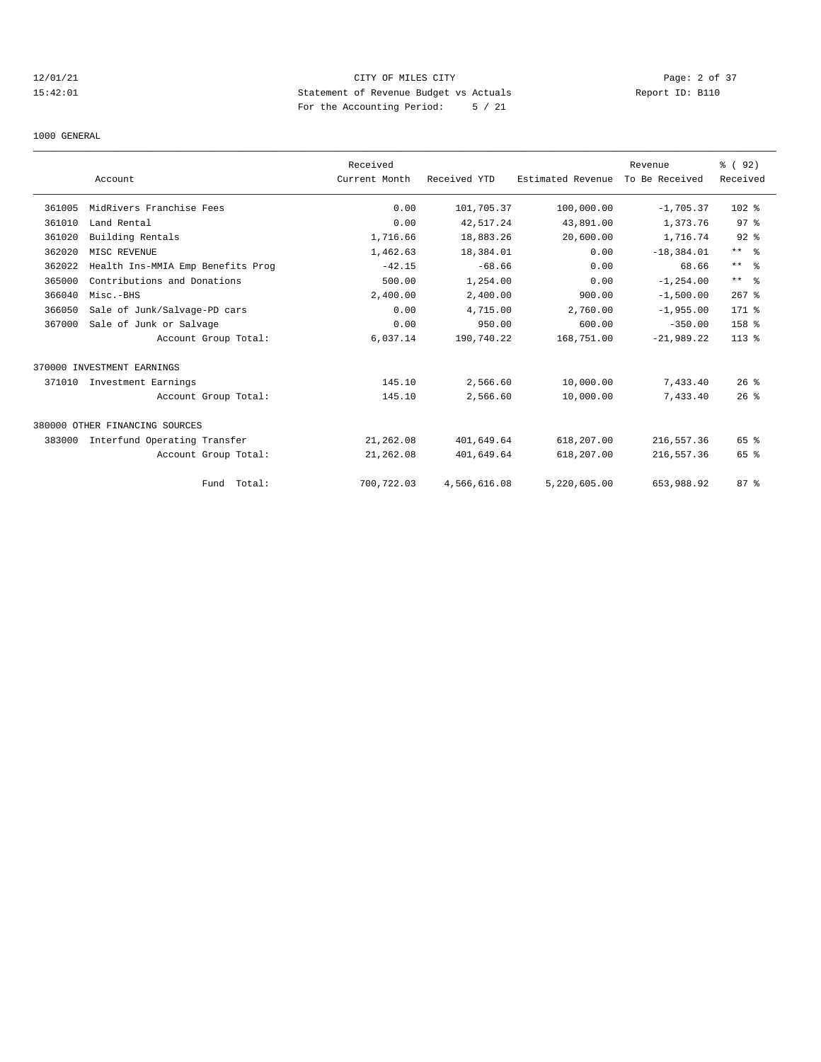## 12/01/21 CITY OF MILES CITY Page: 2 of 37 15:42:01 Statement of Revenue Budget vs Actuals Report ID: B110 For the Accounting Period: 5 / 21

1000 GENERAL

|        |                                   | Received      |              |                   | Revenue        | % (92)          |
|--------|-----------------------------------|---------------|--------------|-------------------|----------------|-----------------|
|        | Account                           | Current Month | Received YTD | Estimated Revenue | To Be Received | Received        |
| 361005 | MidRivers Franchise Fees          | 0.00          | 101,705.37   | 100,000.00        | $-1,705.37$    | $102$ %         |
| 361010 | Land Rental                       | 0.00          | 42,517.24    | 43,891.00         | 1,373.76       | 97 <sup>8</sup> |
| 361020 | Building Rentals                  | 1,716.66      | 18,883.26    | 20,600.00         | 1,716.74       | $92$ $%$        |
| 362020 | MISC REVENUE                      | 1,462.63      | 18,384.01    | 0.00              | $-18,384.01$   | $***$ $ -$      |
| 362022 | Health Ins-MMIA Emp Benefits Prog | $-42.15$      | $-68.66$     | 0.00              | 68.66          | $***$ $ -$      |
| 365000 | Contributions and Donations       | 500.00        | 1,254.00     | 0.00              | $-1, 254.00$   | $***$ $ -$      |
| 366040 | Misc.-BHS                         | 2,400.00      | 2,400.00     | 900.00            | $-1,500.00$    | $267$ %         |
| 366050 | Sale of Junk/Salvage-PD cars      | 0.00          | 4,715.00     | 2,760.00          | $-1,955.00$    | 171 %           |
| 367000 | Sale of Junk or Salvage           | 0.00          | 950.00       | 600.00            | $-350.00$      | 158 %           |
|        | Account Group Total:              | 6,037.14      | 190,740.22   | 168,751.00        | $-21,989,22$   | $113*$          |
|        | 370000 INVESTMENT EARNINGS        |               |              |                   |                |                 |
| 371010 | Investment Earnings               | 145.10        | 2,566.60     | 10,000.00         | 7,433.40       | $26*$           |
|        | Account Group Total:              | 145.10        | 2,566.60     | 10,000.00         | 7,433.40       | 26%             |
|        | 380000 OTHER FINANCING SOURCES    |               |              |                   |                |                 |
| 383000 | Interfund Operating Transfer      | 21,262.08     | 401,649.64   | 618,207.00        | 216,557.36     | 65 %            |
|        | Account Group Total:              | 21,262.08     | 401,649.64   | 618,207.00        | 216,557.36     | 65 %            |
|        | Fund Total:                       | 700,722.03    | 4,566,616.08 | 5,220,605.00      | 653,988.92     | 87%             |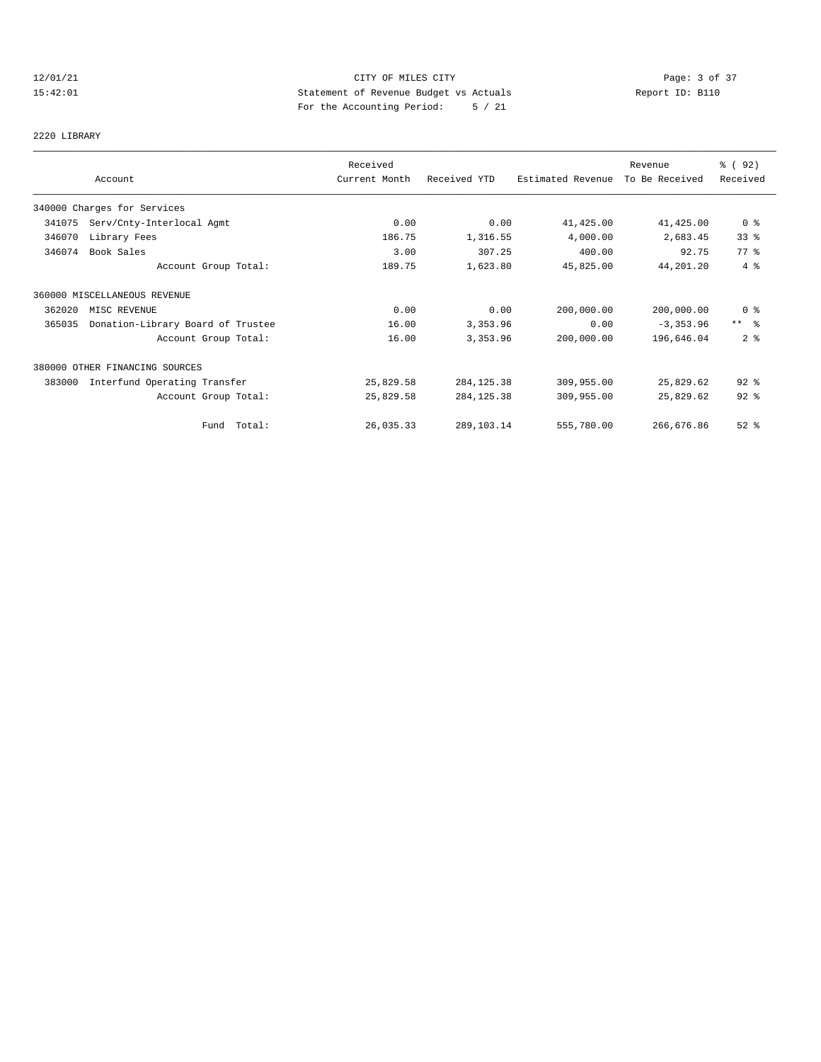## 12/01/21 CITY OF MILES CITY Page: 3 of 37 15:42:01 Statement of Revenue Budget vs Actuals Report ID: B110 For the Accounting Period: 5 / 21

# 2220 LIBRARY

|        |                                   | Received      |              |                   | Revenue        | % (92)                  |
|--------|-----------------------------------|---------------|--------------|-------------------|----------------|-------------------------|
|        | Account                           | Current Month | Received YTD | Estimated Revenue | To Be Received | Received                |
|        | 340000 Charges for Services       |               |              |                   |                |                         |
| 341075 | Serv/Cnty-Interlocal Agmt         | 0.00          | 0.00         | 41,425.00         | 41,425.00      | 0 %                     |
| 346070 | Library Fees                      | 186.75        | 1,316.55     | 4,000.00          | 2,683.45       | 33%                     |
| 346074 | Book Sales                        | 3.00          | 307.25       | 400.00            | 92.75          | 77.8                    |
|        | Account Group Total:              | 189.75        | 1,623.80     | 45,825.00         | 44,201.20      | 4%                      |
|        | 360000 MISCELLANEOUS REVENUE      |               |              |                   |                |                         |
| 362020 | MISC REVENUE                      | 0.00          | 0.00         | 200,000.00        | 200,000.00     | 0 <sup>8</sup>          |
| 365035 | Donation-Library Board of Trustee | 16.00         | 3,353.96     | 0.00              | $-3, 353.96$   | $***$ $=$ $\frac{6}{5}$ |
|        | Account Group Total:              | 16.00         | 3,353.96     | 200,000.00        | 196,646.04     | 2 <sup>8</sup>          |
|        | 380000 OTHER FINANCING SOURCES    |               |              |                   |                |                         |
| 383000 | Interfund Operating Transfer      | 25,829.58     | 284, 125.38  | 309,955.00        | 25,829.62      | $92$ $%$                |
|        | Account Group Total:              | 25,829.58     | 284, 125.38  | 309,955.00        | 25,829.62      | $92$ $%$                |
|        | Fund Total:                       | 26,035.33     | 289,103.14   | 555,780.00        | 266,676.86     | $52$ $%$                |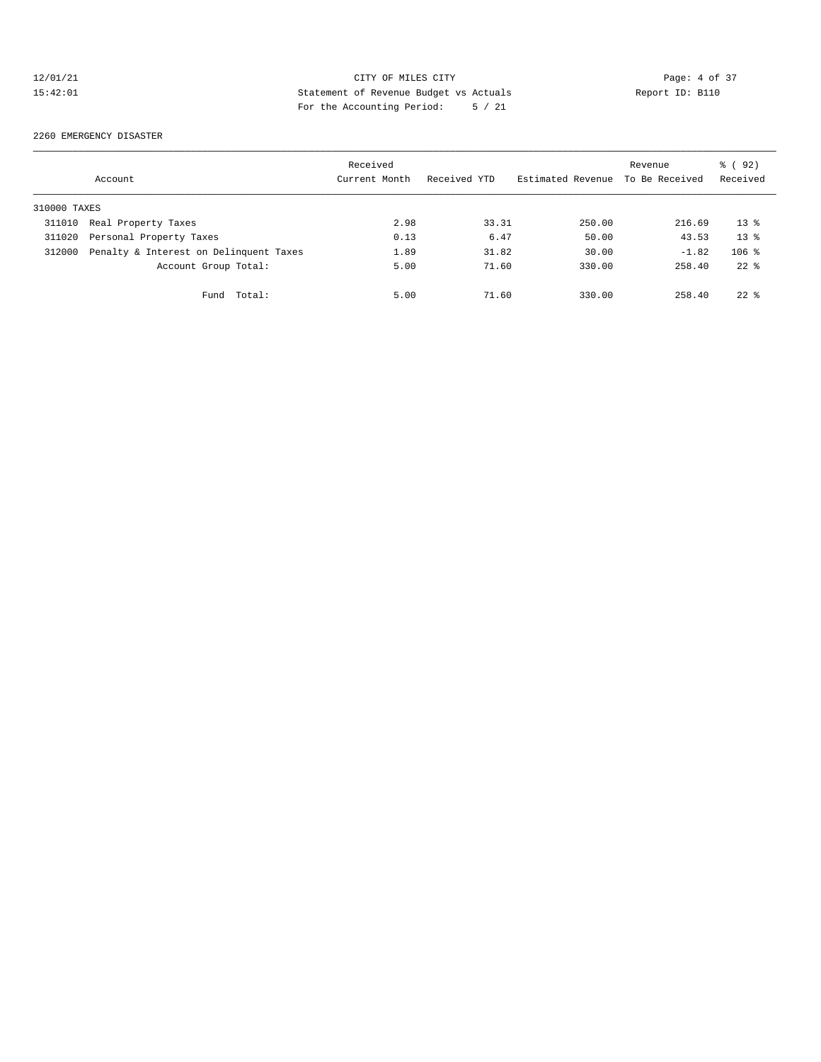## 12/01/21 CITY OF MILES CITY Page: 4 of 37 15:42:01 Statement of Revenue Budget vs Actuals Report ID: B110 For the Accounting Period: 5 / 21

2260 EMERGENCY DISASTER

|              | Account                                | Received<br>Current Month | Received YTD | Estimated Revenue | Revenue<br>To Be Received | % (92)<br>Received |
|--------------|----------------------------------------|---------------------------|--------------|-------------------|---------------------------|--------------------|
| 310000 TAXES |                                        |                           |              |                   |                           |                    |
| 311010       | Real Property Taxes                    | 2.98                      | 33.31        | 250.00            | 216.69                    | $13*$              |
| 311020       | Personal Property Taxes                | 0.13                      | 6.47         | 50.00             | 43.53                     | $13*$              |
| 312000       | Penalty & Interest on Delinquent Taxes | 1.89                      | 31.82        | 30.00             | $-1.82$                   | $106$ %            |
|              | Account Group Total:                   | 5.00                      | 71.60        | 330.00            | 258.40                    | $22$ $%$           |
|              | Total:<br>Fund                         | 5.00                      | 71.60        | 330.00            | 258.40                    | $22$ $%$           |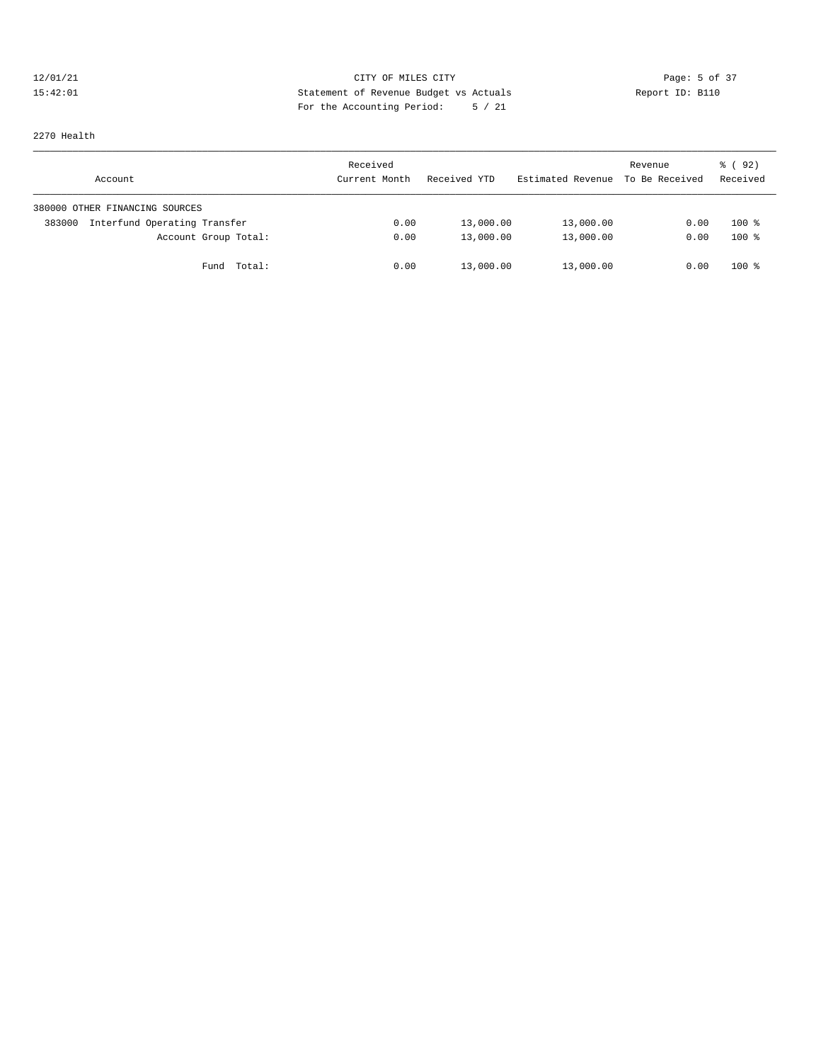## 12/01/21 CITY OF MILES CITY CHES CITY Page: 5 of 37<br>15:42:01 Statement of Revenue Budget vs Actuals Report ID: B110 15:42:01 Statement of Revenue Budget vs Actuals Report ID: B110 For the Accounting Period: 5 / 21

2270 Health

| Account                                | Received<br>Current Month | Received YTD | Estimated Revenue To Be Received | Revenue | % ( 92 )<br>Received |
|----------------------------------------|---------------------------|--------------|----------------------------------|---------|----------------------|
| 380000 OTHER FINANCING SOURCES         |                           |              |                                  |         |                      |
| Interfund Operating Transfer<br>383000 | 0.00                      | 13,000.00    | 13,000.00                        | 0.00    | $100*$               |
| Account Group Total:                   | 0.00                      | 13,000.00    | 13,000.00                        | 0.00    | $100*$               |
| Fund Total:                            | 0.00                      | 13,000.00    | 13,000.00                        | 0.00    | $100*$               |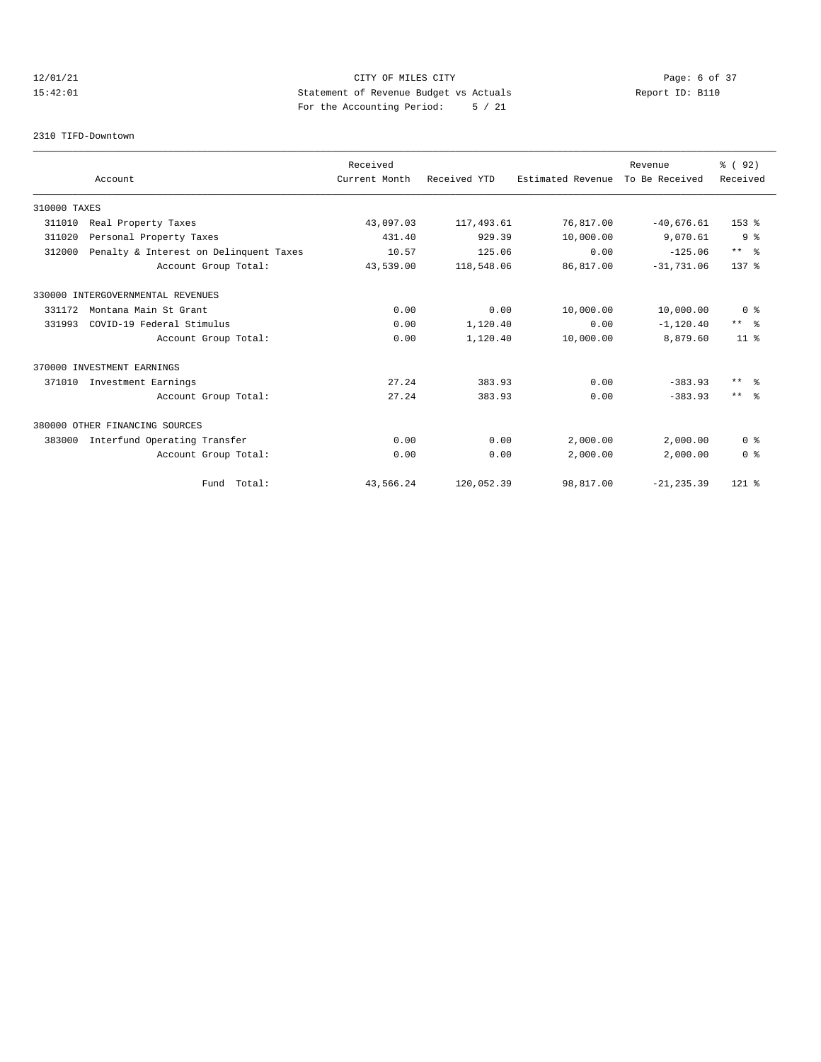## 12/01/21 CITY OF MILES CITY CONTRIBUTE CITY Page: 6 of 37<br>15:42:01 Statement of Revenue Budget vs Actuals Report ID: B110 15:42:01 Statement of Revenue Budget vs Actuals Report ID: B110 For the Accounting Period: 5 / 21

### 2310 TIFD-Downtown

|              |                                        | Received      |              |                   | Revenue        | % (92)         |
|--------------|----------------------------------------|---------------|--------------|-------------------|----------------|----------------|
|              | Account                                | Current Month | Received YTD | Estimated Revenue | To Be Received | Received       |
| 310000 TAXES |                                        |               |              |                   |                |                |
| 311010       | Real Property Taxes                    | 43,097.03     | 117,493.61   | 76,817.00         | $-40,676.61$   | $153*$         |
| 311020       | Personal Property Taxes                | 431.40        | 929.39       | 10,000.00         | 9,070.61       | 9 <sub>8</sub> |
| 312000       | Penalty & Interest on Delinquent Taxes | 10.57         | 125.06       | 0.00              | $-125.06$      | $***$ $ -$     |
|              | Account Group Total:                   | 43,539.00     | 118,548.06   | 86,817.00         | $-31,731.06$   | $137*$         |
|              | 330000 INTERGOVERNMENTAL REVENUES      |               |              |                   |                |                |
| 331172       | Montana Main St Grant                  | 0.00          | 0.00         | 10,000.00         | 10,000.00      | 0 <sup>8</sup> |
| 331993       | COVID-19 Federal Stimulus              | 0.00          | 1,120.40     | 0.00              | $-1, 120.40$   | $***$ $ -$     |
|              | Account Group Total:                   | 0.00          | 1,120.40     | 10,000.00         | 8,879.60       | $11*$          |
|              | 370000 INVESTMENT EARNINGS             |               |              |                   |                |                |
| 371010       | Investment Earnings                    | 27.24         | 383.93       | 0.00              | $-383.93$      | $***$ $ -$     |
|              | Account Group Total:                   | 27.24         | 383.93       | 0.00              | $-383.93$      | $***$ $ -$     |
|              | 380000 OTHER FINANCING SOURCES         |               |              |                   |                |                |
| 383000       | Interfund Operating Transfer           | 0.00          | 0.00         | 2,000.00          | 2,000.00       | 0 <sup>8</sup> |
|              | Account Group Total:                   | 0.00          | 0.00         | 2,000.00          | 2,000.00       | 0 <sup>8</sup> |
|              | Fund Total:                            | 43,566.24     | 120,052.39   | 98,817.00         | $-21, 235.39$  | $121$ %        |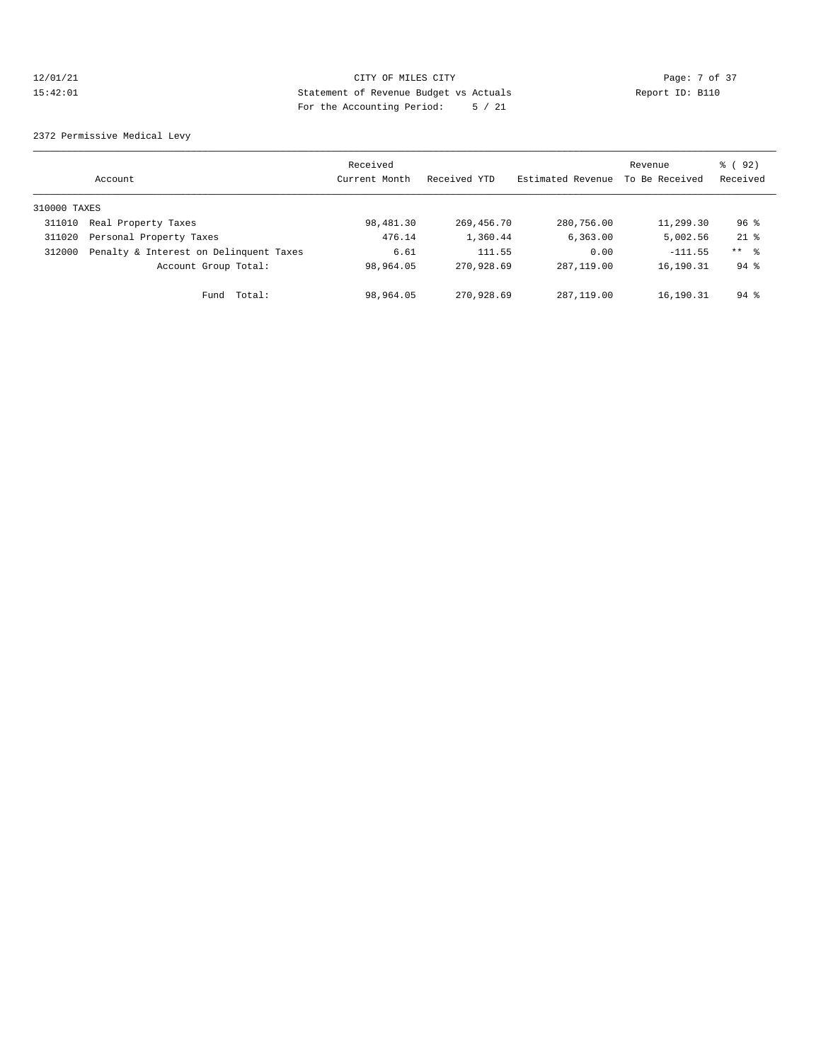## 12/01/21 CITY OF MILES CITY Page: 7 of 37 15:42:01 Statement of Revenue Budget vs Actuals Report ID: B110 For the Accounting Period: 5 / 21

2372 Permissive Medical Levy

|              | Account                                | Received<br>Current Month | Received YTD | Estimated Revenue | Revenue<br>To Be Received | % (92)<br>Received |
|--------------|----------------------------------------|---------------------------|--------------|-------------------|---------------------------|--------------------|
| 310000 TAXES |                                        |                           |              |                   |                           |                    |
| 311010       | Real Property Taxes                    | 98,481.30                 | 269,456.70   | 280,756.00        | 11,299.30                 | $96$ %             |
| 311020       | Personal Property Taxes                | 476.14                    | 1,360.44     | 6, 363, 00        | 5,002.56                  | $21$ $%$           |
| 312000       | Penalty & Interest on Delinquent Taxes | 6.61                      | 111.55       | 0.00              | $-111.55$                 | $***$ %            |
|              | Account Group Total:                   | 98,964.05                 | 270,928.69   | 287, 119, 00      | 16,190.31                 | $94$ $\frac{6}{3}$ |
|              | Total:<br>Fund                         | 98,964.05                 | 270,928.69   | 287, 119, 00      | 16,190.31                 | $94$ $%$           |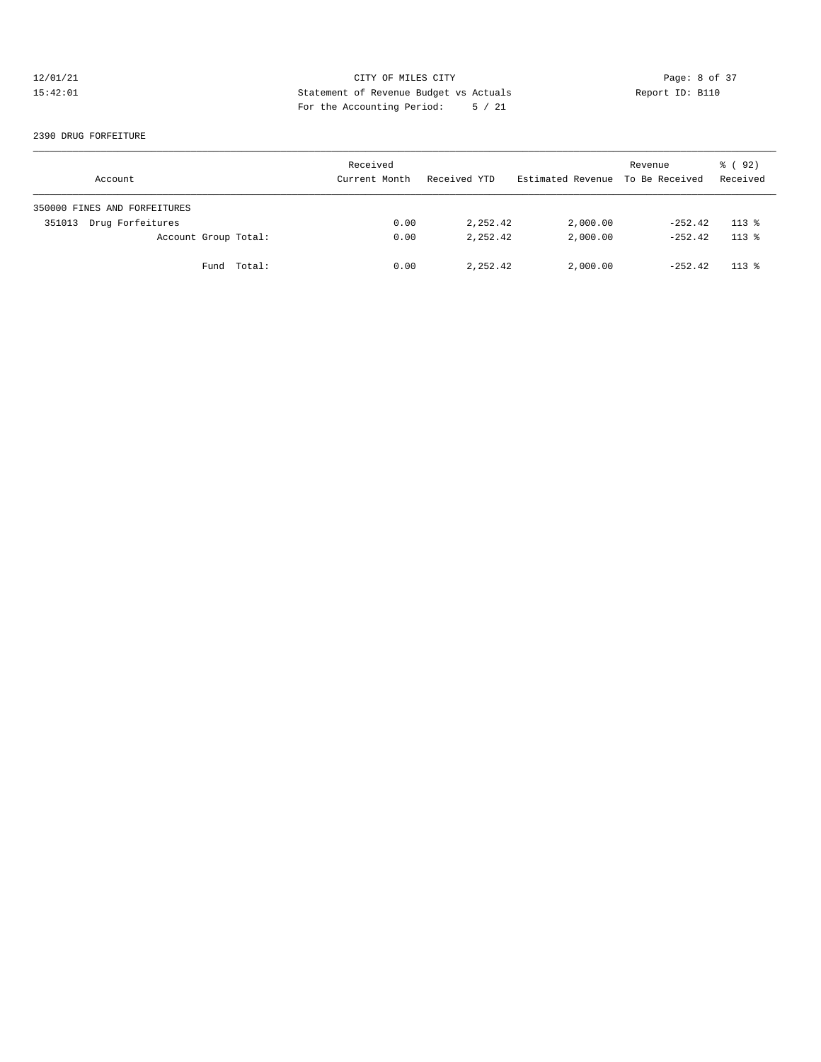## 12/01/21 CITY OF MILES CITY CONTRIBUTE CITY Page: 8 of 37<br>15:42:01 Statement of Revenue Budget vs Actuals Report ID: B110 15:42:01 Statement of Revenue Budget vs Actuals Report ID: B110 For the Accounting Period: 5 / 21

### 2390 DRUG FORFEITURE

| Account                      | Received<br>Current Month | Received YTD | Estimated Revenue To Be Received | Revenue   | % ( 92 )<br>Received |
|------------------------------|---------------------------|--------------|----------------------------------|-----------|----------------------|
| 350000 FINES AND FORFEITURES |                           |              |                                  |           |                      |
| Drug Forfeitures<br>351013   | 0.00                      | 2,252.42     | 2,000.00                         | $-252.42$ | $113*$               |
| Account Group Total:         | 0.00                      | 2,252.42     | 2,000.00                         | $-252.42$ | $113*$               |
| Fund Total:                  | 0.00                      | 2,252.42     | 2,000.00                         | $-252.42$ | $113*$               |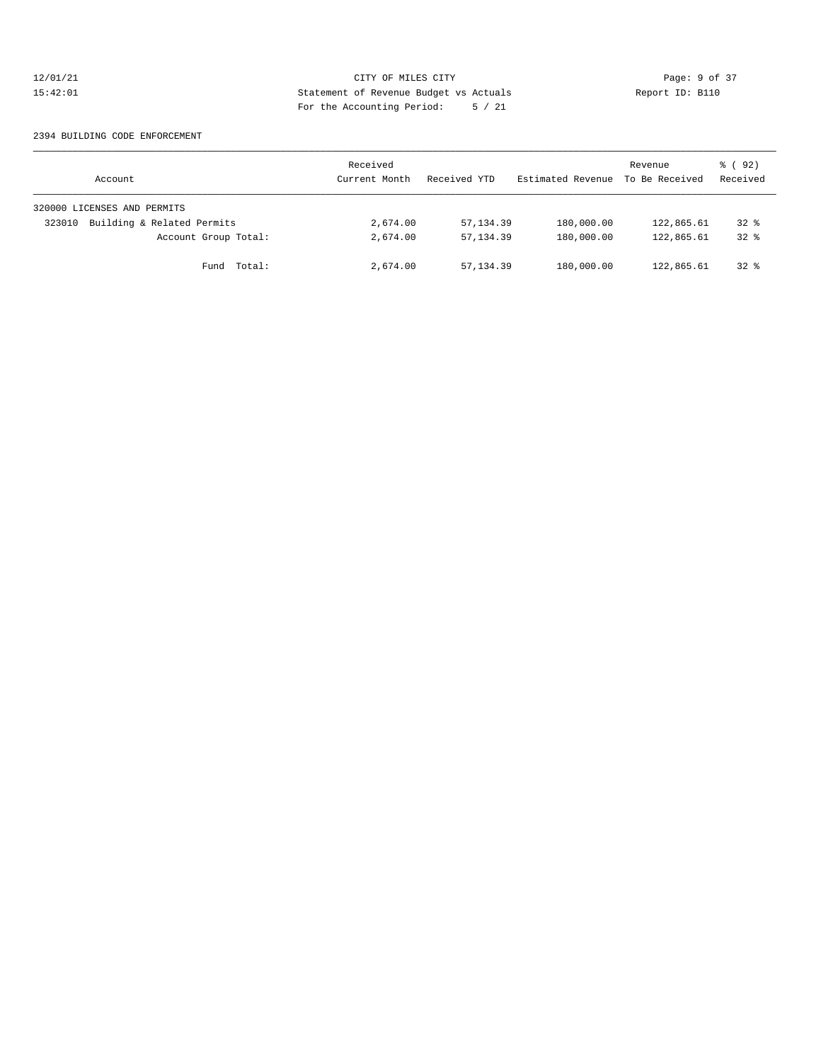## 12/01/21 CITY OF MILES CITY CONTRIBUTE CITY Page: 9 of 37<br>15:42:01 Statement of Revenue Budget vs Actuals Report ID: B110 15:42:01 Statement of Revenue Budget vs Actuals Report ID: B110 For the Accounting Period: 5 / 21

### 2394 BUILDING CODE ENFORCEMENT

| Account                              | Received<br>Current Month | Received YTD | Estimated Revenue | Revenue<br>To Be Received | % ( 92 )<br>Received |
|--------------------------------------|---------------------------|--------------|-------------------|---------------------------|----------------------|
| 320000 LICENSES AND PERMITS          |                           |              |                   |                           |                      |
| Building & Related Permits<br>323010 | 2,674.00                  | 57, 134.39   | 180,000.00        | 122,865.61                | $32*$                |
| Account Group Total:                 | 2,674.00                  | 57, 134, 39  | 180,000.00        | 122,865.61                | $32*$                |
| Total:<br>Fund                       | 2,674.00                  | 57, 134.39   | 180,000.00        | 122,865.61                | $32$ $%$             |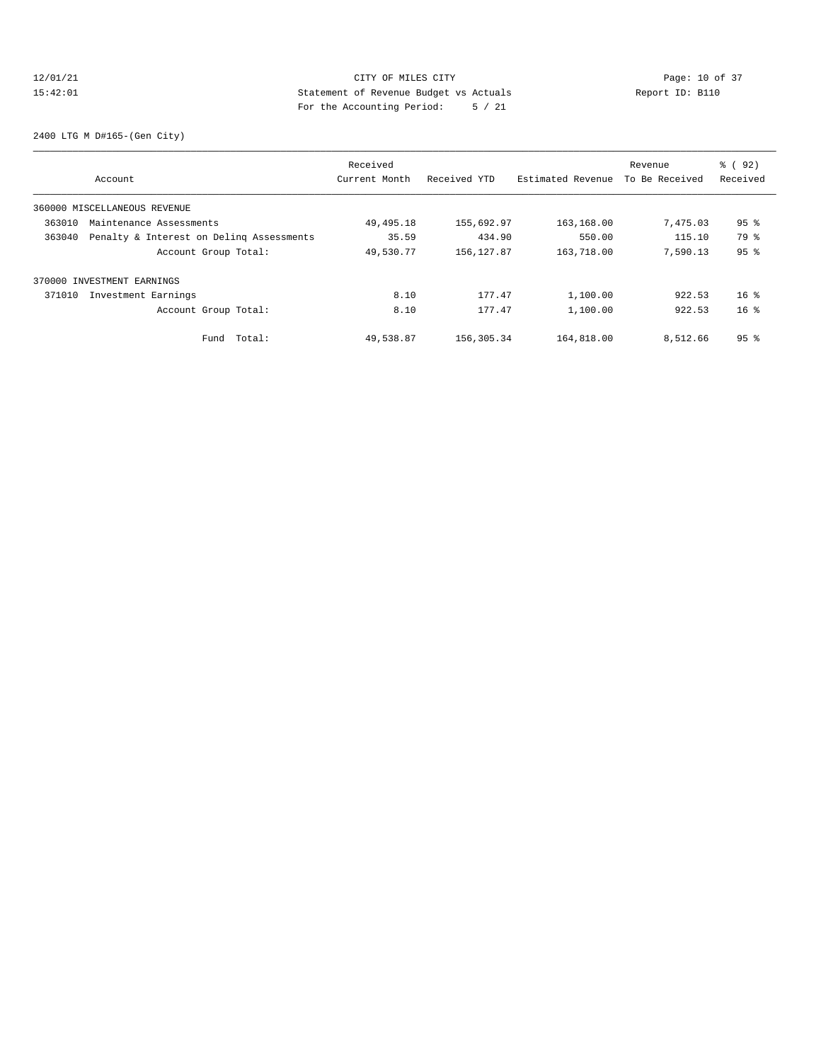## 12/01/21 Page: 10 of 37 15:42:01 Statement of Revenue Budget vs Actuals Report ID: B110 For the Accounting Period: 5 / 21

2400 LTG M D#165-(Gen City)

|        |                                          | Received      |              |                   | Revenue        | % (92)          |
|--------|------------------------------------------|---------------|--------------|-------------------|----------------|-----------------|
|        | Account                                  | Current Month | Received YTD | Estimated Revenue | To Be Received | Received        |
|        | 360000 MISCELLANEOUS REVENUE             |               |              |                   |                |                 |
| 363010 | Maintenance Assessments                  | 49,495.18     | 155,692.97   | 163,168.00        | 7,475.03       | 95 <sub>8</sub> |
| 363040 | Penalty & Interest on Deling Assessments | 35.59         | 434.90       | 550.00            | 115.10         | 79 %            |
|        | Account Group Total:                     | 49,530.77     | 156, 127.87  | 163,718.00        | 7,590.13       | 95 <sup>°</sup> |
|        | 370000 INVESTMENT EARNINGS               |               |              |                   |                |                 |
| 371010 | Investment Earnings                      | 8.10          | 177.47       | 1,100.00          | 922.53         | $16*$           |
|        | Account Group Total:                     | 8.10          | 177.47       | 1,100.00          | 922.53         | $16*$           |
|        | Fund Total:                              | 49,538.87     | 156,305.34   | 164,818.00        | 8,512.66       | 95 <sup>8</sup> |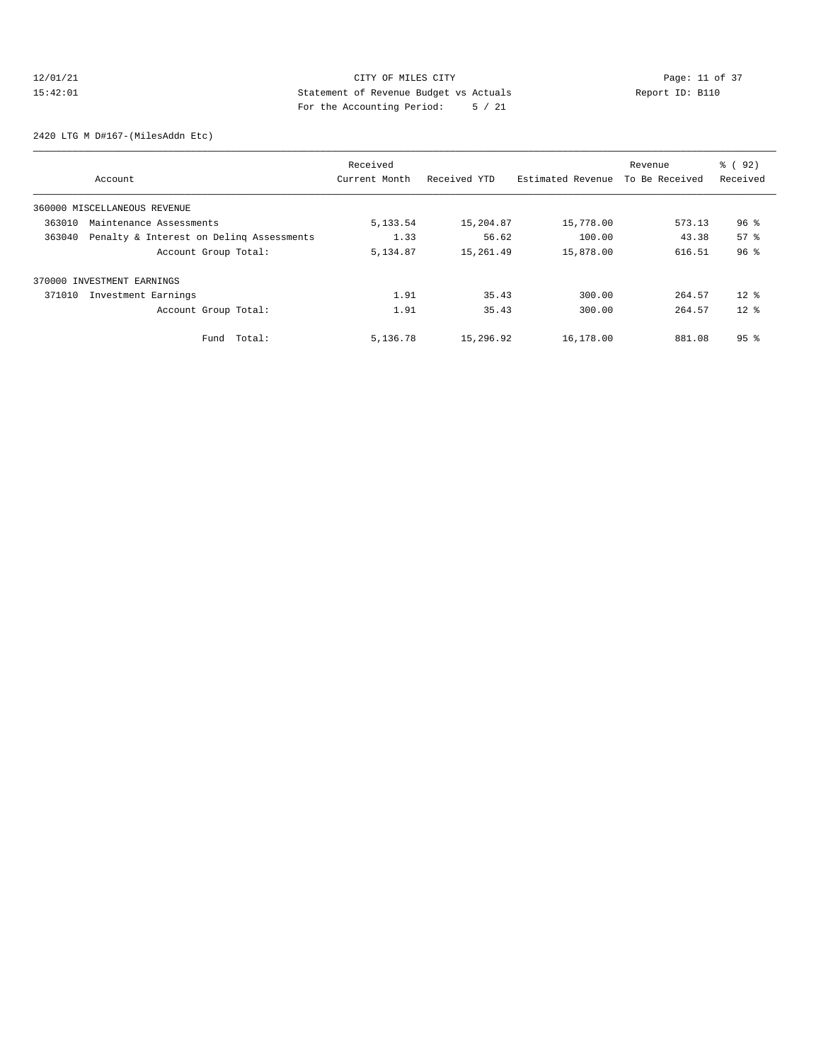## 12/01/21 Page: 11 of 37 15:42:01 Statement of Revenue Budget vs Actuals Report ID: B110 For the Accounting Period: 5 / 21

2420 LTG M D#167-(MilesAddn Etc)

| Account                                            | Received<br>Current Month | Received YTD | Estimated Revenue | Revenue<br>To Be Received | % ( 92 )<br>Received |
|----------------------------------------------------|---------------------------|--------------|-------------------|---------------------------|----------------------|
| 360000 MISCELLANEOUS REVENUE                       |                           |              |                   |                           |                      |
| 363010<br>Maintenance Assessments                  | 5, 133.54                 | 15,204.87    | 15,778.00         | 573.13                    | $96$ %               |
| 363040<br>Penalty & Interest on Deling Assessments | 1.33                      | 56.62        | 100.00            | 43.38                     | 57 <sup>8</sup>      |
| Account Group Total:                               | 5,134.87                  | 15,261.49    | 15,878.00         | 616.51                    | 96 <sup>°</sup>      |
| 370000 INVESTMENT EARNINGS                         |                           |              |                   |                           |                      |
| 371010<br>Investment Earnings                      | 1.91                      | 35.43        | 300.00            | 264.57                    | $12*$                |
| Account Group Total:                               | 1.91                      | 35.43        | 300.00            | 264.57                    | $12*$                |
| Total:<br>Fund                                     | 5,136.78                  | 15,296.92    | 16,178.00         | 881.08                    | $95*$                |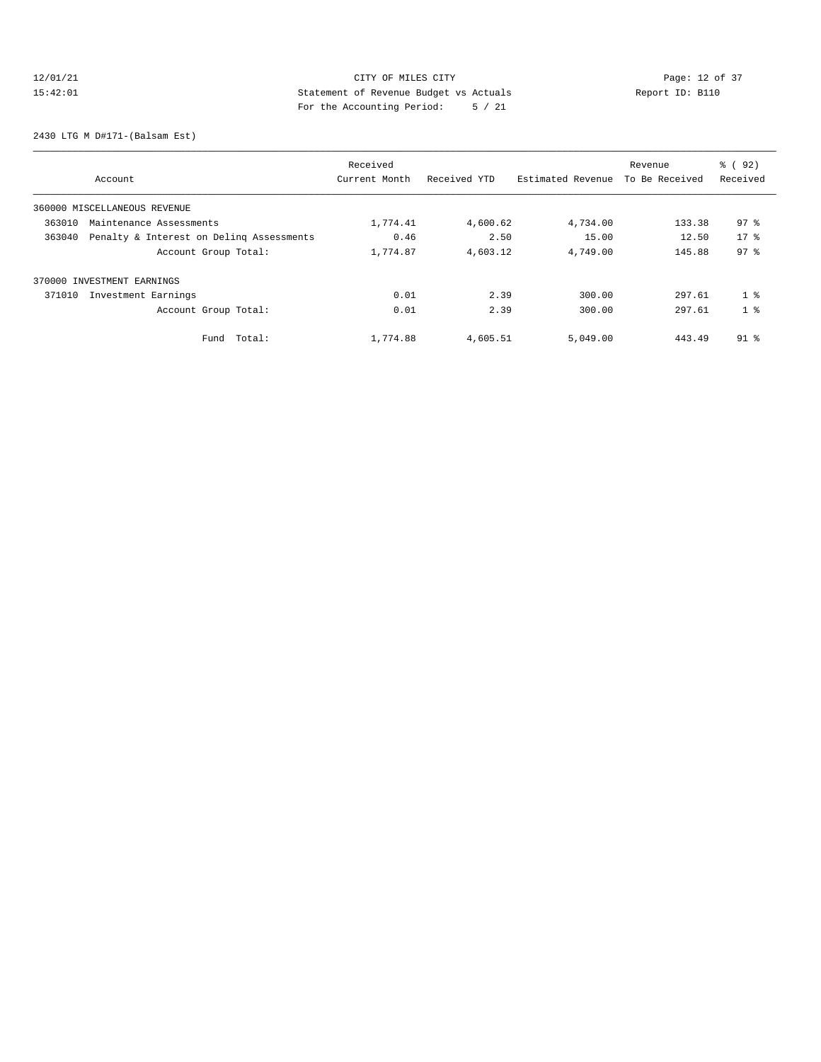## 12/01/21 Page: 12 of 37 15:42:01 Statement of Revenue Budget vs Actuals Report ID: B110 For the Accounting Period: 5 / 21

2430 LTG M D#171-(Balsam Est)

|                                                    | Received      |              |                   | Revenue        | % ( 92 )        |
|----------------------------------------------------|---------------|--------------|-------------------|----------------|-----------------|
| Account                                            | Current Month | Received YTD | Estimated Revenue | To Be Received | Received        |
| 360000 MISCELLANEOUS REVENUE                       |               |              |                   |                |                 |
| 363010<br>Maintenance Assessments                  | 1,774.41      | 4,600.62     | 4,734.00          | 133.38         | 97.8            |
| 363040<br>Penalty & Interest on Deling Assessments | 0.46          | 2.50         | 15.00             | 12.50          | $17*$           |
| Account Group Total:                               | 1,774.87      | 4,603.12     | 4,749.00          | 145.88         | 97 <sup>8</sup> |
| 370000 INVESTMENT EARNINGS                         |               |              |                   |                |                 |
| 371010<br>Investment Earnings                      | 0.01          | 2.39         | 300.00            | 297.61         | 1 <sup>8</sup>  |
| Account Group Total:                               | 0.01          | 2.39         | 300.00            | 297.61         | 1 <sup>8</sup>  |
| Total:<br>Fund                                     | 1,774.88      | 4,605.51     | 5,049.00          | 443.49         | $91$ %          |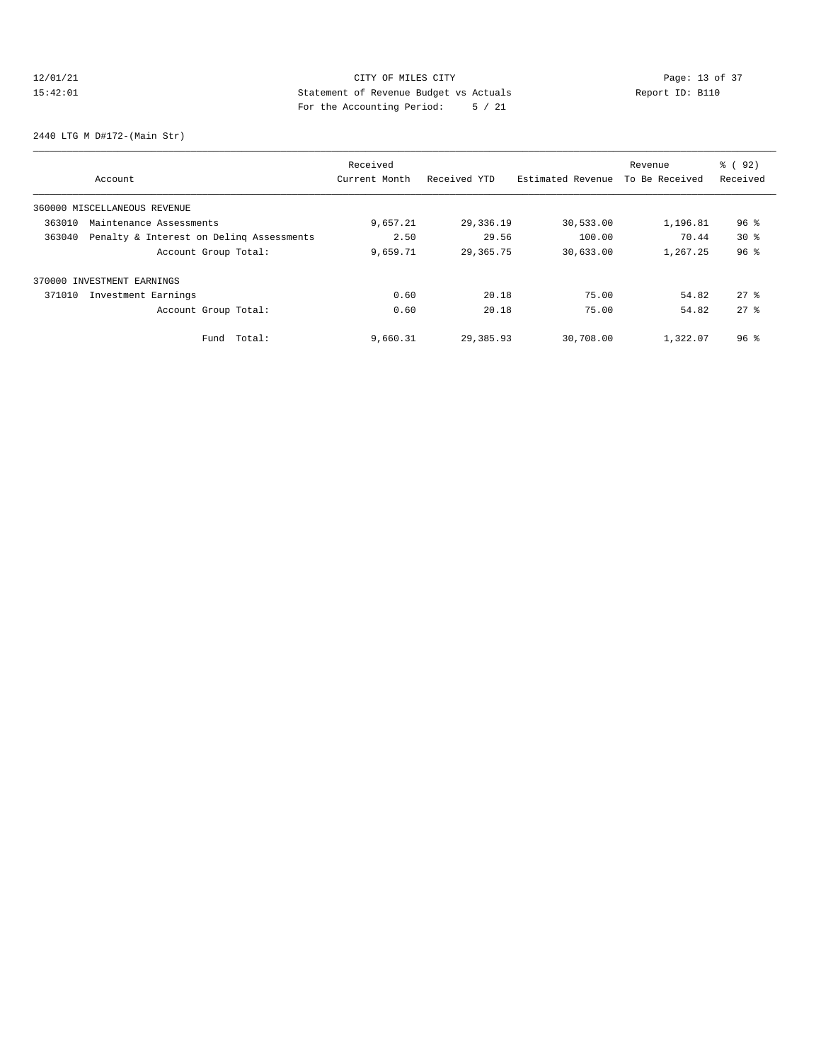## 12/01/21 Page: 13 of 37 15:42:01 Statement of Revenue Budget vs Actuals Report ID: B110 For the Accounting Period: 5 / 21

2440 LTG M D#172-(Main Str)

| Account                                            | Received<br>Current Month | Received YTD | Estimated Revenue | Revenue<br>To Be Received | % ( 92 )<br>Received |
|----------------------------------------------------|---------------------------|--------------|-------------------|---------------------------|----------------------|
| 360000 MISCELLANEOUS REVENUE                       |                           |              |                   |                           |                      |
| 363010<br>Maintenance Assessments                  | 9,657.21                  | 29,336.19    | 30,533.00         | 1,196.81                  | $96$ $\frac{6}{3}$   |
| 363040<br>Penalty & Interest on Deling Assessments | 2.50                      | 29.56        | 100.00            | 70.44                     | 30 <sub>8</sub>      |
| Account Group Total:                               | 9,659.71                  | 29,365.75    | 30,633.00         | 1,267.25                  | 96 <sup>°</sup>      |
| 370000 INVESTMENT EARNINGS                         |                           |              |                   |                           |                      |
| 371010<br>Investment Earnings                      | 0.60                      | 20.18        | 75.00             | 54.82                     | $27$ %               |
| Account Group Total:                               | 0.60                      | 20.18        | 75.00             | 54.82                     | $27$ $%$             |
| Total:<br>Fund                                     | 9,660.31                  | 29,385.93    | 30,708.00         | 1,322.07                  | $96$ $\frac{6}{3}$   |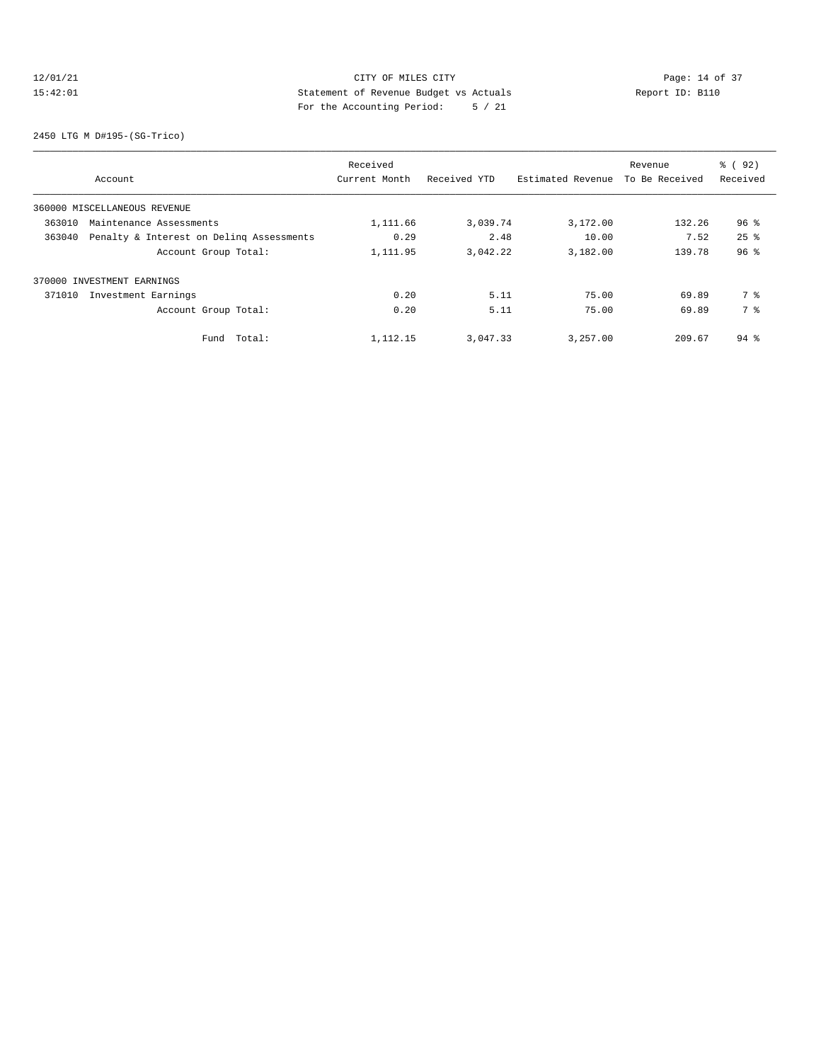## 12/01/21 Page: 14 of 37 15:42:01 Statement of Revenue Budget vs Actuals Report ID: B110 For the Accounting Period: 5 / 21

2450 LTG M D#195-(SG-Trico)

| Account                                            | Received<br>Current Month | Received YTD | Estimated Revenue | Revenue<br>To Be Received | % ( 92 )<br>Received |
|----------------------------------------------------|---------------------------|--------------|-------------------|---------------------------|----------------------|
| 360000 MISCELLANEOUS REVENUE                       |                           |              |                   |                           |                      |
| 363010<br>Maintenance Assessments                  | 1,111.66                  | 3,039.74     | 3,172.00          | 132.26                    | $96$ %               |
| 363040<br>Penalty & Interest on Deling Assessments | 0.29                      | 2.48         | 10.00             | 7.52                      | $25$ $%$             |
| Account Group Total:                               | 1,111.95                  | 3,042.22     | 3,182.00          | 139.78                    | 96 <sup>°</sup>      |
| 370000 INVESTMENT EARNINGS                         |                           |              |                   |                           |                      |
| 371010<br>Investment Earnings                      | 0.20                      | 5.11         | 75.00             | 69.89                     | 7 %                  |
| Account Group Total:                               | 0.20                      | 5.11         | 75.00             | 69.89                     | 7 %                  |
| Fund Total:                                        | 1,112.15                  | 3,047.33     | 3,257.00          | 209.67                    | $94$ $\frac{6}{3}$   |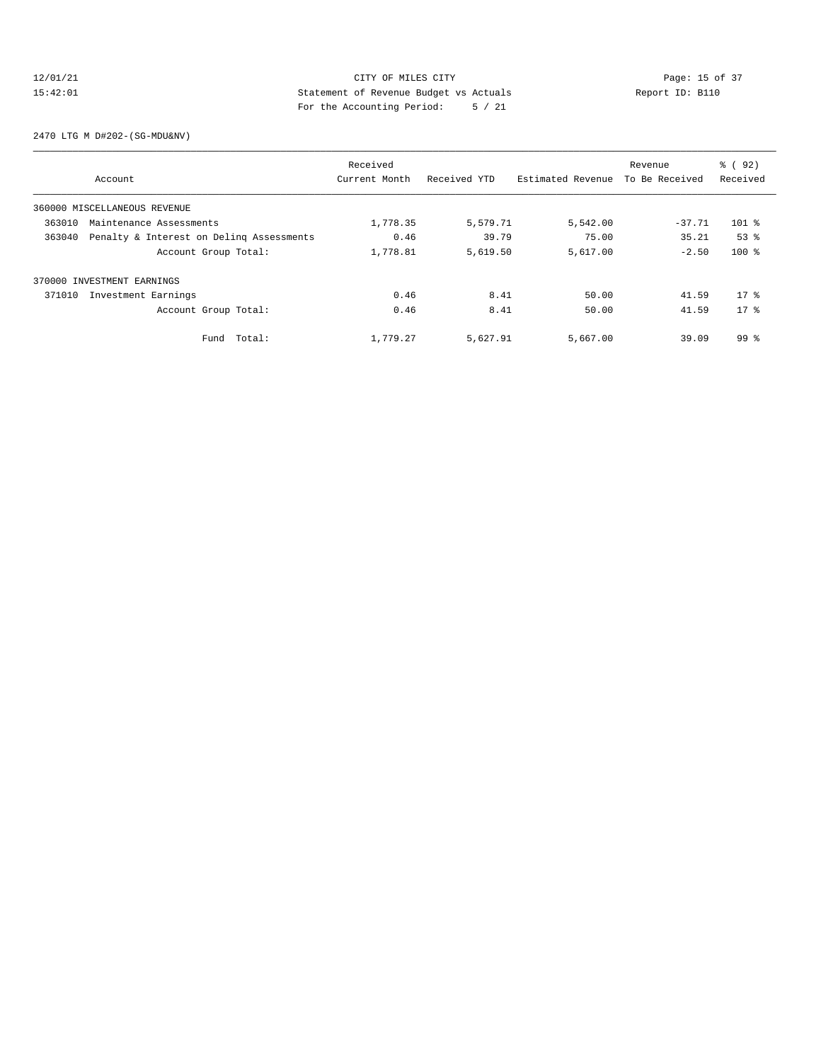## 12/01/21 CITY OF MILES CITY<br>15:42:01 Page: 15 of 37<br>15:42:01 CITY OF MILES CITY<br>15:42:01 Page: 15 of 37 15:42:01 Statement of Revenue Budget vs Actuals Report ID: B110 For the Accounting Period: 5 / 21

2470 LTG M D#202-(SG-MDU&NV)

|        |                                          | Received      |              |                   | Revenue        | % ( 92 )        |
|--------|------------------------------------------|---------------|--------------|-------------------|----------------|-----------------|
|        | Account                                  | Current Month | Received YTD | Estimated Revenue | To Be Received | Received        |
|        | 360000 MISCELLANEOUS REVENUE             |               |              |                   |                |                 |
| 363010 | Maintenance Assessments                  | 1,778.35      | 5,579.71     | 5,542.00          | $-37.71$       | $101$ %         |
| 363040 | Penalty & Interest on Deling Assessments | 0.46          | 39.79        | 75.00             | 35.21          | 53 <sup>8</sup> |
|        | Account Group Total:                     | 1,778.81      | 5,619.50     | 5,617.00          | $-2.50$        | $100$ %         |
|        | 370000 INVESTMENT EARNINGS               |               |              |                   |                |                 |
| 371010 | Investment Earnings                      | 0.46          | 8.41         | 50.00             | 41.59          | $17*$           |
|        | Account Group Total:                     | 0.46          | 8.41         | 50.00             | 41.59          | $17*$           |
|        | Fund Total:                              | 1,779.27      | 5,627.91     | 5,667.00          | 39.09          | 99 <sup>8</sup> |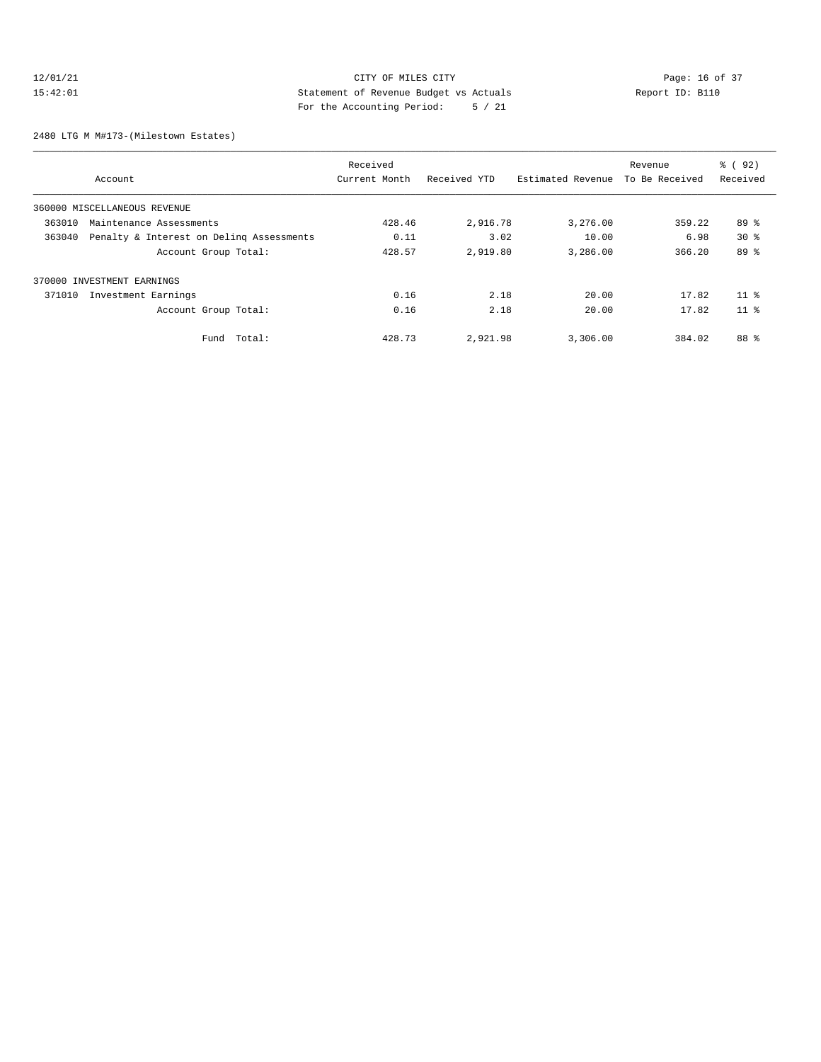## 12/01/21 CITY OF MILES CITY<br>15:42:01 Page: 16 of 37<br>15:42:01 Statement of Revenue Budget vs Actuals<br>15:42:01 Page: 16 of 37 15:42:01 Statement of Revenue Budget vs Actuals Report ID: B110 For the Accounting Period: 5 / 21

2480 LTG M M#173-(Milestown Estates)

|                                                    | Received      |              |                   | Revenue        | 8 (92)          |
|----------------------------------------------------|---------------|--------------|-------------------|----------------|-----------------|
| Account                                            | Current Month | Received YTD | Estimated Revenue | To Be Received | Received        |
| 360000 MISCELLANEOUS REVENUE                       |               |              |                   |                |                 |
| 363010<br>Maintenance Assessments                  | 428.46        | 2,916.78     | 3,276.00          | 359.22         | $89*$           |
| 363040<br>Penalty & Interest on Deling Assessments | 0.11          | 3.02         | 10.00             | 6.98           | $30*$           |
| Account Group Total:                               | 428.57        | 2,919.80     | 3,286.00          | 366.20         | 89 %            |
| 370000 INVESTMENT EARNINGS                         |               |              |                   |                |                 |
| 371010<br>Investment Earnings                      | 0.16          | 2.18         | 20.00             | 17.82          | 11 <sup>8</sup> |
| Account Group Total:                               | 0.16          | 2.18         | 20.00             | 17.82          | 11 <sup>8</sup> |
| Fund Total:                                        | 428.73        | 2,921.98     | 3,306.00          | 384.02         | 88 %            |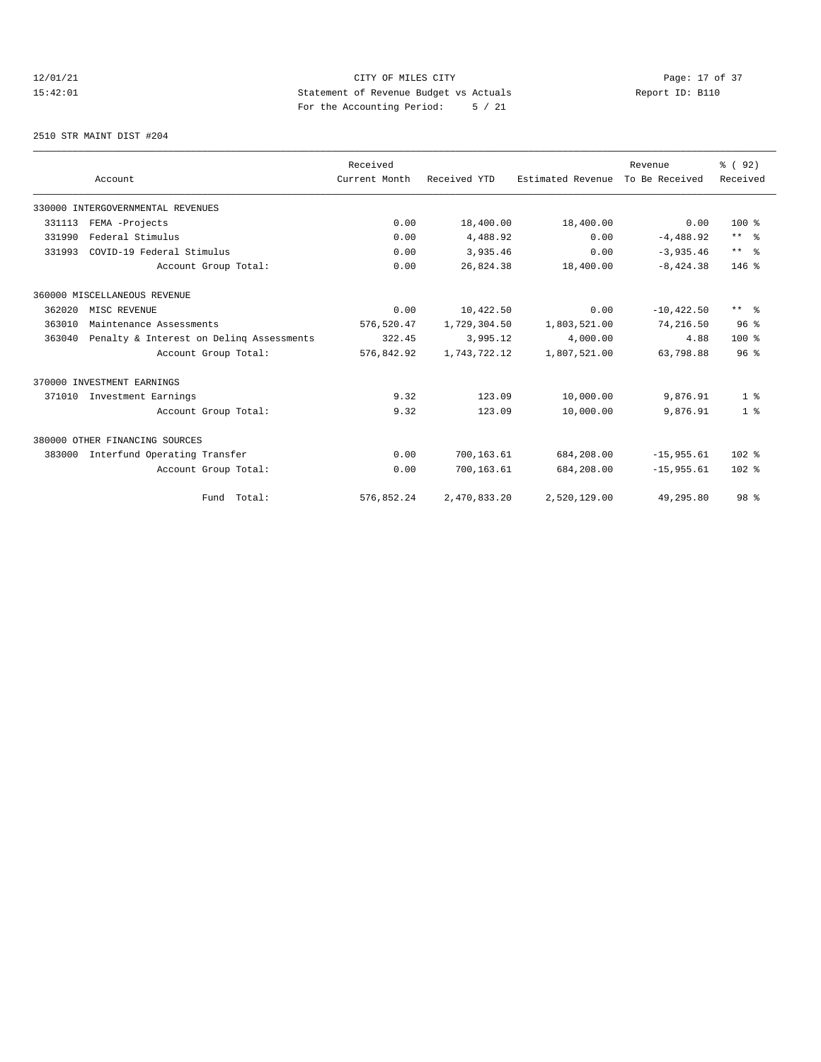## 12/01/21 CITY OF MILES CITY<br>15:42:01 Page: 17 of 37<br>15:42:01 CITY OF MILES CITY<br>15:42:01 Page: 17 of 37 15:42:01 Statement of Revenue Budget vs Actuals Report ID: B110 For the Accounting Period: 5 / 21

2510 STR MAINT DIST #204

|        |                                          | Received      |              |                   | Revenue        | % (92)          |
|--------|------------------------------------------|---------------|--------------|-------------------|----------------|-----------------|
|        | Account                                  | Current Month | Received YTD | Estimated Revenue | To Be Received | Received        |
|        | 330000 INTERGOVERNMENTAL REVENUES        |               |              |                   |                |                 |
| 331113 | FEMA -Projects                           | 0.00          | 18,400.00    | 18,400.00         | 0.00           | $100*$          |
| 331990 | Federal Stimulus                         | 0.00          | 4,488.92     | 0.00              | $-4,488.92$    | $***$ $%$       |
| 331993 | COVID-19 Federal Stimulus                | 0.00          | 3,935.46     | 0.00              | $-3.935.46$    | $***$ $=$       |
|        | Account Group Total:                     | 0.00          | 26,824.38    | 18,400.00         | $-8,424.38$    | $146$ %         |
|        | 360000 MISCELLANEOUS REVENUE             |               |              |                   |                |                 |
| 362020 | MISC REVENUE                             | 0.00          | 10,422.50    | 0.00              | $-10, 422.50$  | $***$ $ -$      |
| 363010 | Maintenance Assessments                  | 576,520.47    | 1,729,304.50 | 1,803,521.00      | 74,216.50      | 96 <sup>8</sup> |
| 363040 | Penalty & Interest on Deling Assessments | 322.45        | 3,995.12     | 4,000.00          | 4.88           | $100*$          |
|        | Account Group Total:                     | 576,842.92    | 1,743,722.12 | 1,807,521.00      | 63,798.88      | 96 <sup>8</sup> |
|        | 370000 INVESTMENT EARNINGS               |               |              |                   |                |                 |
| 371010 | Investment Earnings                      | 9.32          | 123.09       | 10,000.00         | 9,876.91       | 1 <sup>8</sup>  |
|        | Account Group Total:                     | 9.32          | 123.09       | 10,000.00         | 9,876.91       | 1 <sup>8</sup>  |
|        | 380000 OTHER FINANCING SOURCES           |               |              |                   |                |                 |
| 383000 | Interfund Operating Transfer             | 0.00          | 700,163.61   | 684,208.00        | $-15,955.61$   | $102$ %         |
|        | Account Group Total:                     | 0.00          | 700,163.61   | 684,208.00        | $-15.955.61$   | $102$ %         |
|        | Fund Total:                              | 576,852.24    | 2,470,833.20 | 2,520,129.00      | 49,295.80      | 98 <sup>8</sup> |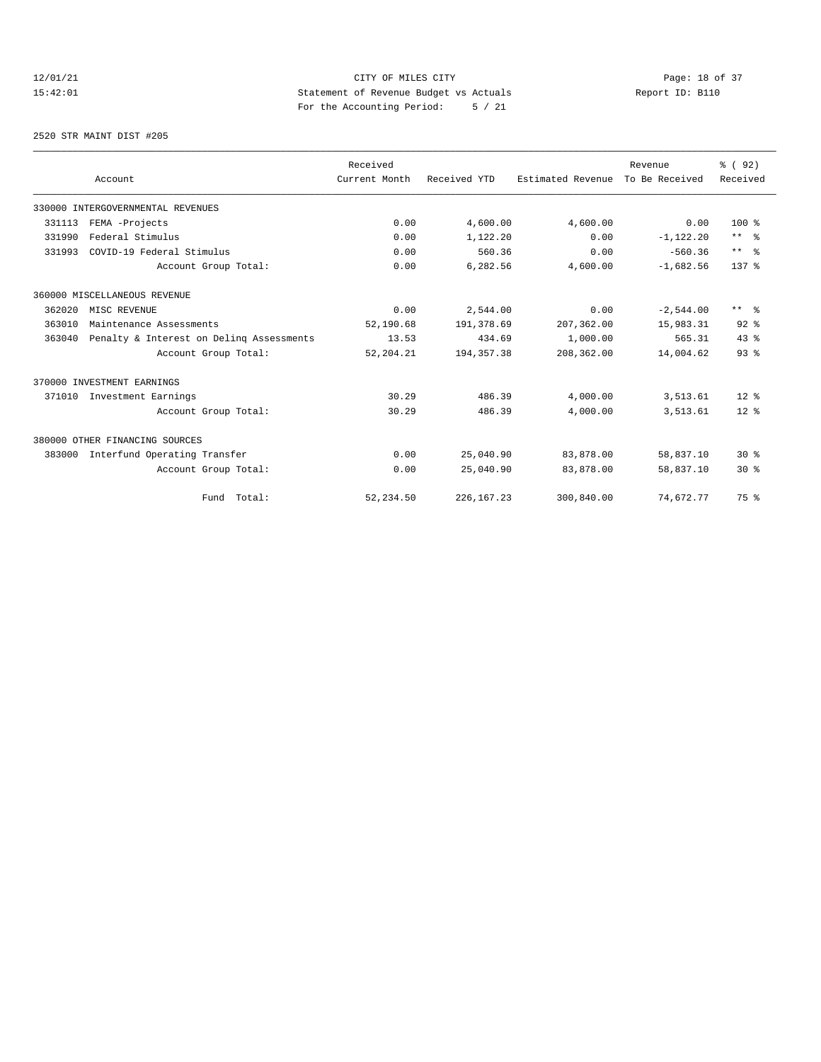## 12/01/21 CITY OF MILES CITY<br>15:42:01 Page: 18 of 37<br>15:42:01 CITY OF MILES CITY<br>15:42:01 Page: 18 of 37 15:42:01 Statement of Revenue Budget vs Actuals Report ID: B110 For the Accounting Period: 5 / 21

2520 STR MAINT DIST #205

|        |                                          | Received      |              |                   | Revenue        | % (92)          |
|--------|------------------------------------------|---------------|--------------|-------------------|----------------|-----------------|
|        | Account                                  | Current Month | Received YTD | Estimated Revenue | To Be Received | Received        |
|        | 330000 INTERGOVERNMENTAL REVENUES        |               |              |                   |                |                 |
| 331113 | FEMA -Projects                           | 0.00          | 4,600.00     | 4,600.00          | 0.00           | $100*$          |
| 331990 | Federal Stimulus                         | 0.00          | 1,122.20     | 0.00              | $-1,122.20$    | $***$ $%$       |
| 331993 | COVID-19 Federal Stimulus                | 0.00          | 560.36       | 0.00              | $-560.36$      | $***$ $=$       |
|        | Account Group Total:                     | 0.00          | 6,282.56     | 4,600.00          | $-1,682.56$    | $137*$          |
|        | 360000 MISCELLANEOUS REVENUE             |               |              |                   |                |                 |
| 362020 | MISC REVENUE                             | 0.00          | 2,544.00     | 0.00              | $-2,544.00$    | $***$ $ -$      |
| 363010 | Maintenance Assessments                  | 52,190.68     | 191,378.69   | 207,362.00        | 15,983.31      | $92$ $%$        |
| 363040 | Penalty & Interest on Deling Assessments | 13.53         | 434.69       | 1,000.00          | 565.31         | 43.8            |
|        | Account Group Total:                     | 52, 204.21    | 194, 357. 38 | 208,362.00        | 14,004.62      | 93 <sup>8</sup> |
|        | 370000 INVESTMENT EARNINGS               |               |              |                   |                |                 |
| 371010 | Investment Earnings                      | 30.29         | 486.39       | 4,000.00          | 3,513.61       | $12*$           |
|        | Account Group Total:                     | 30.29         | 486.39       | 4,000.00          | 3,513.61       | $12*$           |
|        | 380000 OTHER FINANCING SOURCES           |               |              |                   |                |                 |
| 383000 | Interfund Operating Transfer             | 0.00          | 25,040.90    | 83,878.00         | 58,837.10      | $30*$           |
|        | Account Group Total:                     | 0.00          | 25,040.90    | 83,878.00         | 58,837.10      | $30*$           |
|        | Fund Total:                              | 52, 234.50    | 226, 167.23  | 300,840.00        | 74,672.77      | 75 %            |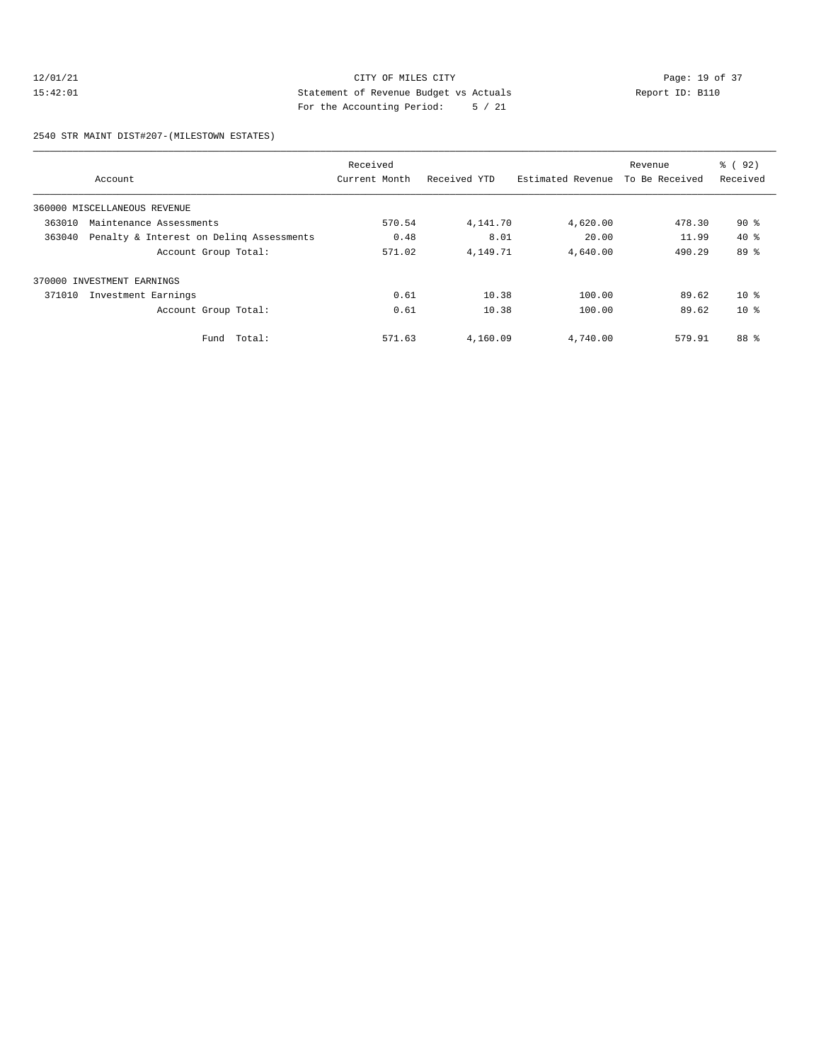## 12/01/21 CITY OF MILES CITY<br>15:42:01 Page: 19 of 37<br>15:42:01 CITY OF MILES CITY<br>15:42:01 Page: 19 of 37 15:42:01 Statement of Revenue Budget vs Actuals Report ID: B110 For the Accounting Period: 5 / 21

2540 STR MAINT DIST#207-(MILESTOWN ESTATES)

| Received                                           |               |              |                   |                | % ( 92 ) |
|----------------------------------------------------|---------------|--------------|-------------------|----------------|----------|
| Account                                            | Current Month | Received YTD | Estimated Revenue | To Be Received | Received |
| 360000 MISCELLANEOUS REVENUE                       |               |              |                   |                |          |
| 363010<br>Maintenance Assessments                  | 570.54        | 4,141.70     | 4,620.00          | 478.30         | 90%      |
| 363040<br>Penalty & Interest on Deling Assessments | 0.48          | 8.01         | 20.00             | 11.99          | $40*$    |
| Account Group Total:                               | 571.02        | 4,149.71     | 4,640.00          | 490.29         | 89 %     |
| 370000 INVESTMENT EARNINGS                         |               |              |                   |                |          |
| 371010<br>Investment Earnings                      | 0.61          | 10.38        | 100.00            | 89.62          | $10*$    |
| Account Group Total:                               | 0.61          | 10.38        | 100.00            | 89.62          | $10*$    |
| Total:<br>Fund                                     | 571.63        | 4,160.09     | 4,740.00          | 579.91         | 88 %     |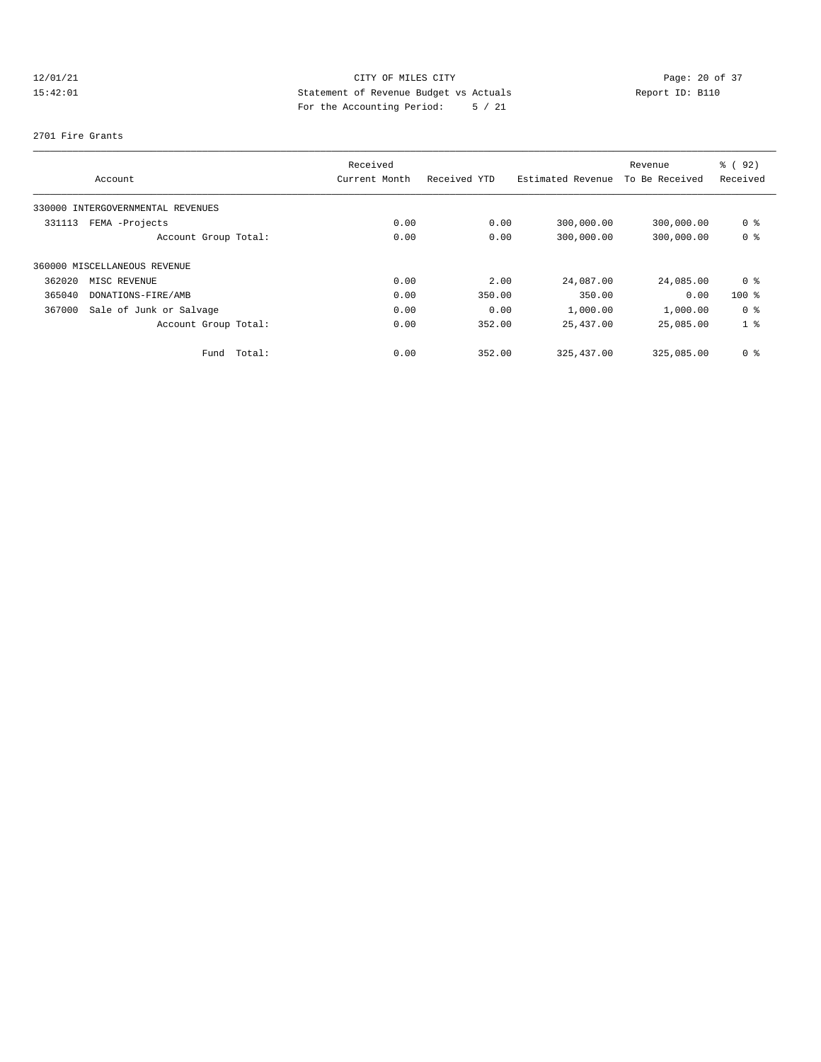## 12/01/21 CITY OF MILES CITY<br>15:42:01 Page: 20 of 37<br>15:42:01 Statement of Revenue Budget vs Actuals<br>15:42:01 Page: 20 of 37 15:42:01 Statement of Revenue Budget vs Actuals Report ID: B110 For the Accounting Period: 5 / 21

### 2701 Fire Grants

|        |                                   |             | Received      |              |                   | Revenue        | % ( 92 )       |
|--------|-----------------------------------|-------------|---------------|--------------|-------------------|----------------|----------------|
|        | Account                           |             | Current Month | Received YTD | Estimated Revenue | To Be Received | Received       |
|        | 330000 INTERGOVERNMENTAL REVENUES |             |               |              |                   |                |                |
| 331113 | FEMA -Projects                    |             | 0.00          | 0.00         | 300,000.00        | 300,000.00     | 0 %            |
|        | Account Group Total:              |             | 0.00          | 0.00         | 300,000.00        | 300,000.00     | 0 %            |
|        | 360000 MISCELLANEOUS REVENUE      |             |               |              |                   |                |                |
| 362020 | MISC REVENUE                      |             | 0.00          | 2.00         | 24,087.00         | 24,085.00      | 0 %            |
| 365040 | DONATIONS-FIRE/AMB                |             | 0.00          | 350.00       | 350.00            | 0.00           | $100$ %        |
| 367000 | Sale of Junk or Salvage           |             | 0.00          | 0.00         | 1,000.00          | 1,000.00       | 0 %            |
|        | Account Group Total:              |             | 0.00          | 352.00       | 25,437.00         | 25,085.00      | 1 <sup>8</sup> |
|        |                                   | Fund Total: | 0.00          | 352.00       | 325, 437, 00      | 325,085,00     | 0 %            |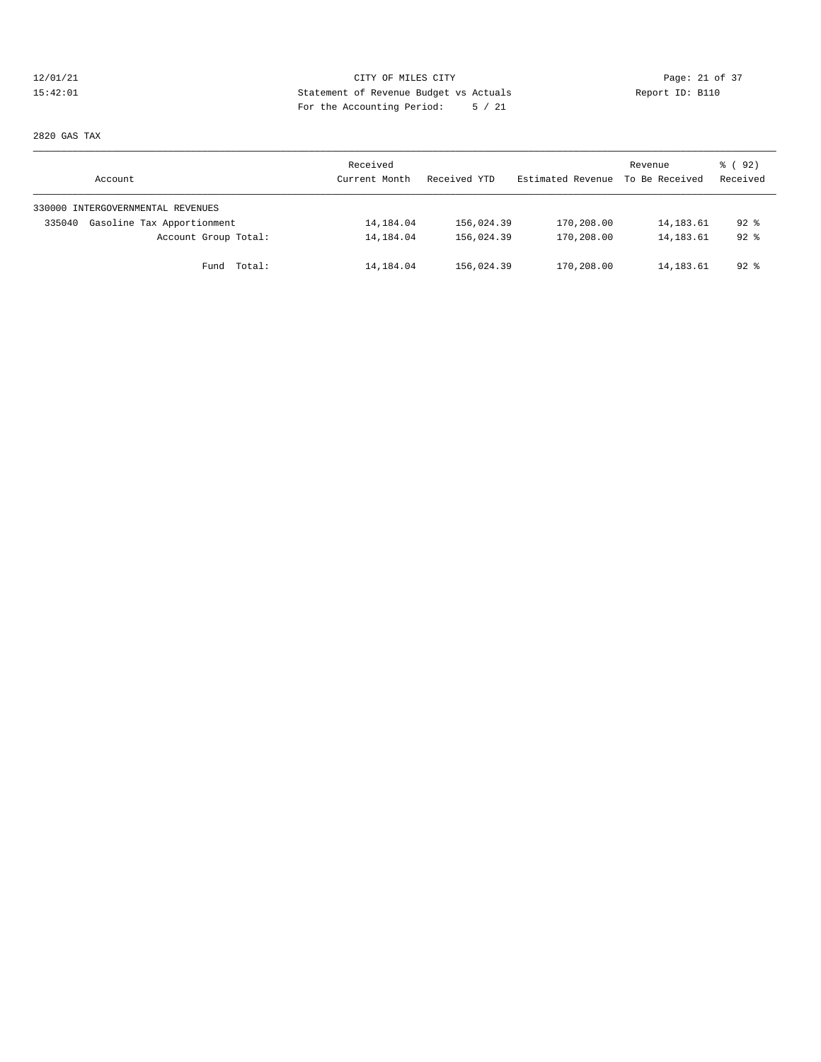## 12/01/21 CITY OF MILES CITY<br>15:42:01 Page: 21 of 37<br>15:42:01 Statement of Revenue Budget vs Actuals<br>15:42:01 Page: 21 of 37 15:42:01 Statement of Revenue Budget vs Actuals Report ID: B110 For the Accounting Period: 5 / 21

2820 GAS TAX

| Account                              | Received<br>Current Month | Received YTD | Estimated Revenue | Revenue<br>To Be Received | 8 (92)<br>Received |
|--------------------------------------|---------------------------|--------------|-------------------|---------------------------|--------------------|
| 330000 INTERGOVERNMENTAL REVENUES    |                           |              |                   |                           |                    |
| Gasoline Tax Apportionment<br>335040 | 14,184.04                 | 156,024.39   | 170,208.00        | 14, 183.61                | $92$ $%$           |
| Account Group Total:                 | 14,184.04                 | 156,024.39   | 170,208.00        | 14, 183.61                | $92$ $%$           |
| Total:<br>Fund                       | 14,184.04                 | 156,024.39   | 170,208.00        | 14, 183.61                | $92$ %             |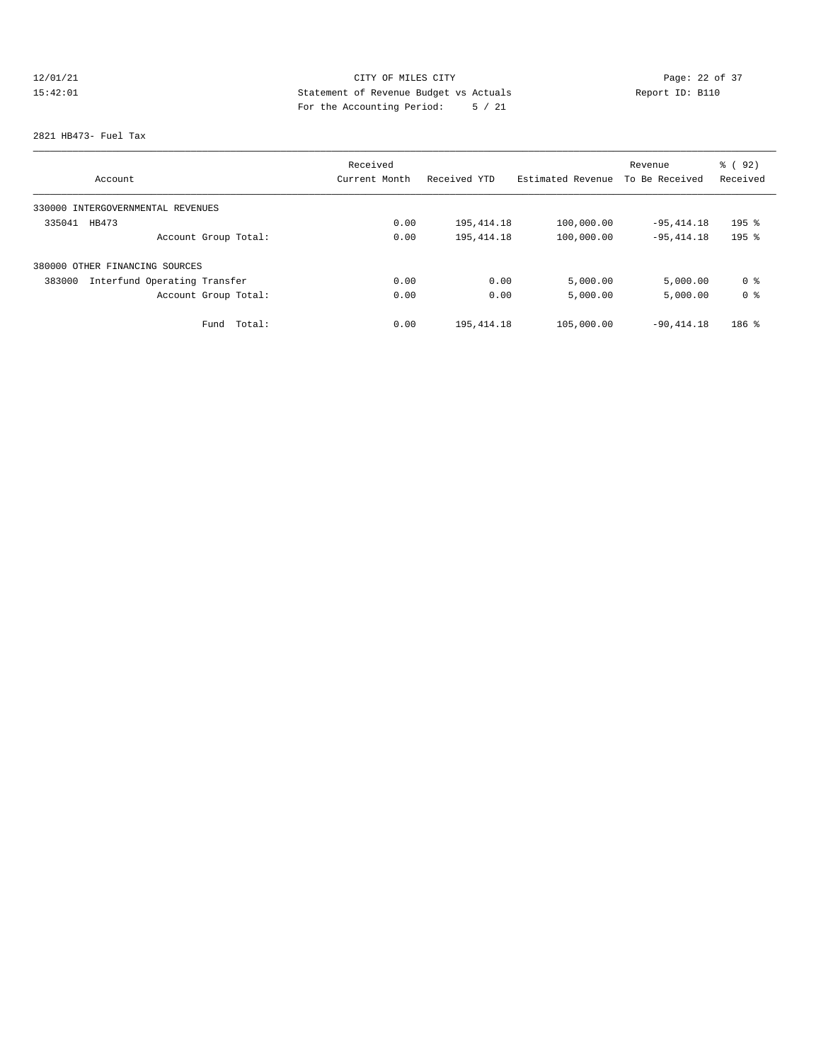# 12/01/21 Page: 22 of 37 15:42:01 Statement of Revenue Budget vs Actuals Report ID: B110 For the Accounting Period: 5 / 21

### 2821 HB473- Fuel Tax

|                                        | Received      |              |                   | Revenue        | % ( 92 )  |
|----------------------------------------|---------------|--------------|-------------------|----------------|-----------|
| Account                                | Current Month | Received YTD | Estimated Revenue | To Be Received | Received  |
| 330000 INTERGOVERNMENTAL REVENUES      |               |              |                   |                |           |
| HB473<br>335041                        | 0.00          | 195,414.18   | 100,000.00        | $-95,414.18$   | $195$ %   |
| Account Group Total:                   | 0.00          | 195, 414.18  | 100,000.00        | $-95,414.18$   | $195$ $%$ |
| 380000 OTHER FINANCING SOURCES         |               |              |                   |                |           |
| Interfund Operating Transfer<br>383000 | 0.00          | 0.00         | 5,000.00          | 5,000.00       | 0 %       |
| Account Group Total:                   | 0.00          | 0.00         | 5,000.00          | 5,000.00       | 0 %       |
| Total:<br>Fund                         | 0.00          | 195, 414.18  | 105,000.00        | $-90.414.18$   | $186$ %   |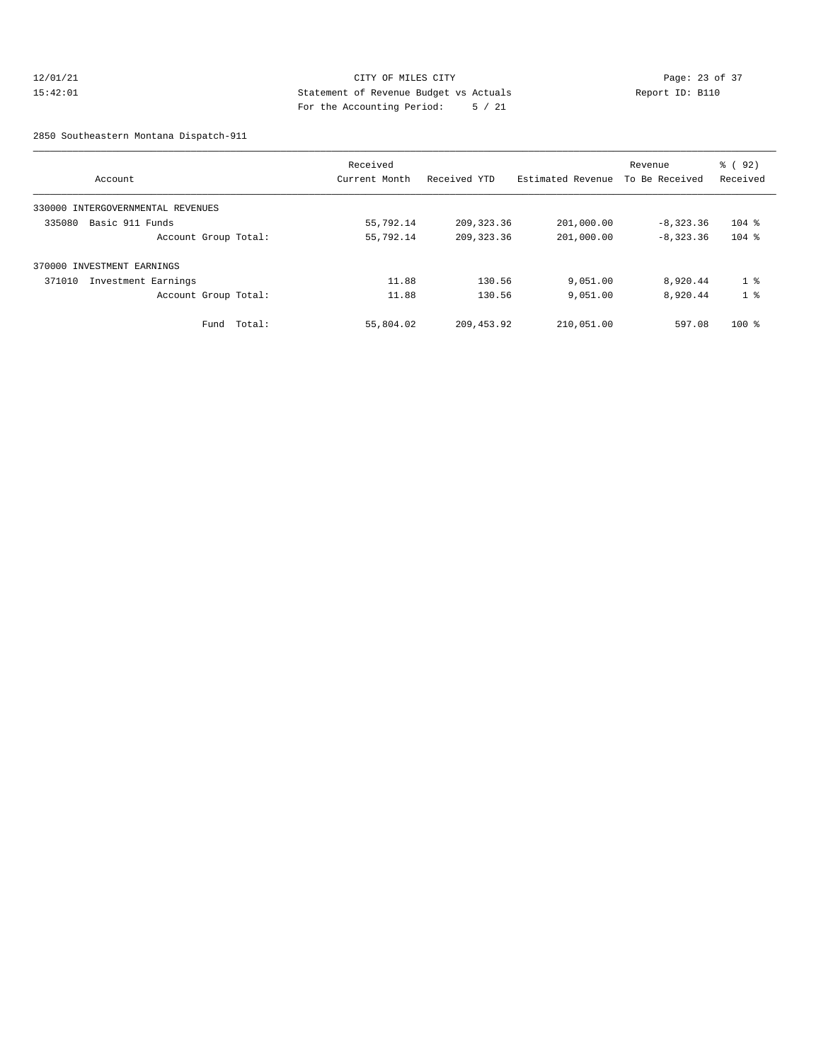## 12/01/21 Page: 23 of 37 15:42:01 Statement of Revenue Budget vs Actuals Report ID: B110 For the Accounting Period: 5 / 21

2850 Southeastern Montana Dispatch-911

|                                      |        | Received      |              |                   | Revenue        | 8 (92)         |
|--------------------------------------|--------|---------------|--------------|-------------------|----------------|----------------|
| Account                              |        | Current Month | Received YTD | Estimated Revenue | To Be Received | Received       |
| 330000<br>INTERGOVERNMENTAL REVENUES |        |               |              |                   |                |                |
| Basic 911 Funds<br>335080            |        | 55,792.14     | 209, 323.36  | 201,000.00        | $-8,323.36$    | $104$ %        |
| Account Group Total:                 |        | 55,792.14     | 209, 323.36  | 201,000.00        | $-8,323.36$    | $104$ %        |
| 370000 INVESTMENT EARNINGS           |        |               |              |                   |                |                |
| Investment Earnings<br>371010        |        | 11.88         | 130.56       | 9,051.00          | 8,920.44       | 1 <sup>8</sup> |
| Account Group Total:                 |        | 11.88         | 130.56       | 9,051.00          | 8,920.44       | 1 <sup>8</sup> |
| Fund                                 | Total: | 55,804.02     | 209, 453.92  | 210,051.00        | 597.08         | $100$ %        |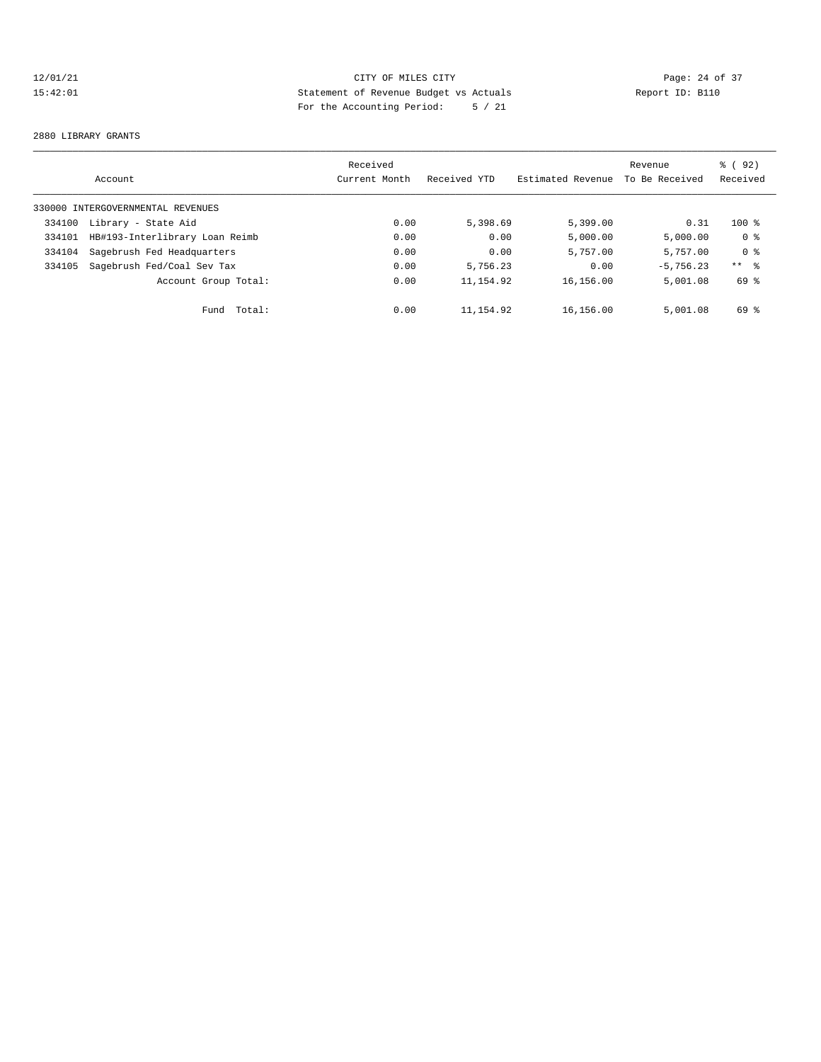## 12/01/21 CITY OF MILES CITY CHE CITY Page: 24 of 37<br>15:42:01 Statement of Revenue Budget vs Actuals Report ID: B110<br>15:42:01 Page: 24 of 37 15:42:01 Statement of Revenue Budget vs Actuals Report ID: B110 For the Accounting Period: 5 / 21

### 2880 LIBRARY GRANTS

|        | Account                           | Received<br>Current Month | Received YTD | Estimated Revenue | Revenue<br>To Be Received | % ( 92 )<br>Received |
|--------|-----------------------------------|---------------------------|--------------|-------------------|---------------------------|----------------------|
|        | 330000 INTERGOVERNMENTAL REVENUES |                           |              |                   |                           |                      |
| 334100 | Library - State Aid               | 0.00                      | 5,398.69     | 5,399.00          | 0.31                      | $100$ %              |
| 334101 | HB#193-Interlibrary Loan Reimb    | 0.00                      | 0.00         | 5,000.00          | 5,000.00                  | 0 %                  |
| 334104 | Sagebrush Fed Headquarters        | 0.00                      | 0.00         | 5,757.00          | 5,757.00                  | 0 <sup>8</sup>       |
| 334105 | Sagebrush Fed/Coal Sev Tax        | 0.00                      | 5,756.23     | 0.00              | $-5.756.23$               | $***$ $\frac{6}{6}$  |
|        | Account Group Total:              | 0.00                      | 11, 154.92   | 16,156.00         | 5,001.08                  | 69 %                 |
|        | Fund Total:                       | 0.00                      | 11,154.92    | 16,156.00         | 5,001.08                  | 69 %                 |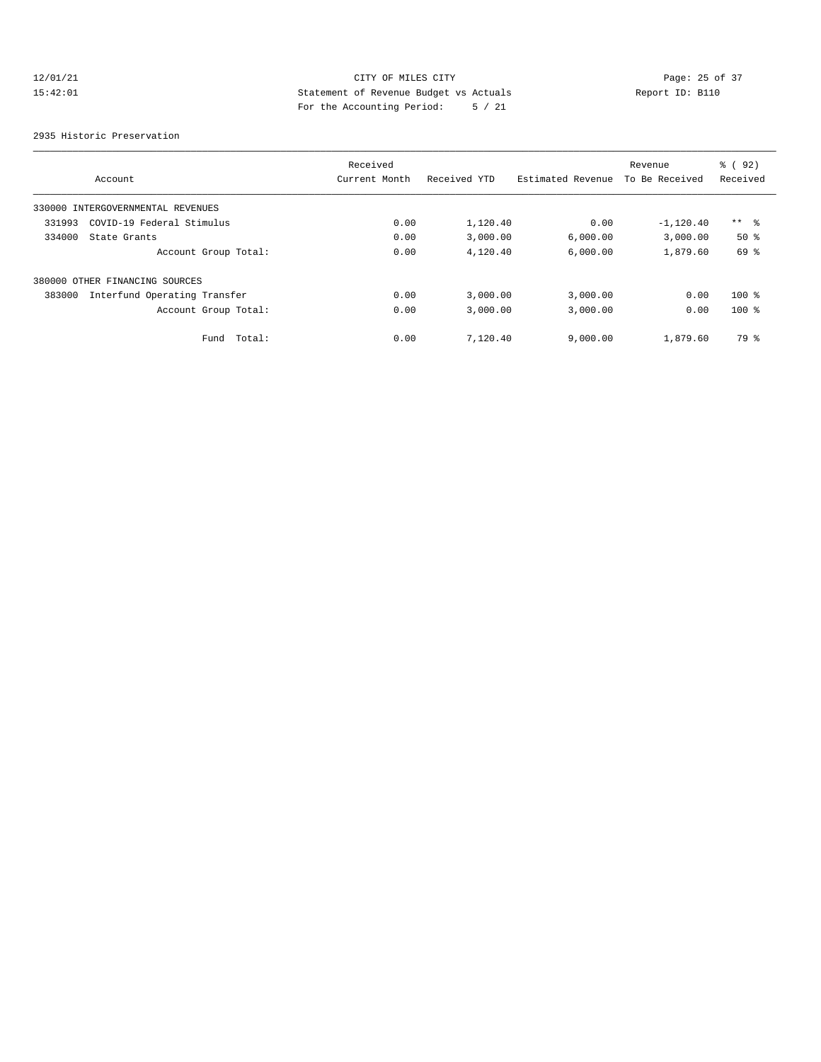## 12/01/21 CITY OF MILES CITY<br>15:42:01 Page: 25 of 37<br>15:42:01 Statement of Revenue Budget vs Actuals<br>15:42:01 Page: 25 of 37 15:42:01 Statement of Revenue Budget vs Actuals Report ID: B110 For the Accounting Period: 5 / 21

2935 Historic Preservation

|        | Account                           | Received<br>Current Month | Received YTD | Estimated Revenue | Revenue<br>To Be Received | % ( 92 )<br>Received |
|--------|-----------------------------------|---------------------------|--------------|-------------------|---------------------------|----------------------|
|        | 330000 INTERGOVERNMENTAL REVENUES |                           |              |                   |                           |                      |
| 331993 | COVID-19 Federal Stimulus         | 0.00                      | 1,120.40     | 0.00              | $-1,120.40$               | $***$ %              |
| 334000 | State Grants                      | 0.00                      | 3,000.00     | 6.000.00          | 3,000.00                  | $50*$                |
|        | Account Group Total:              | 0.00                      | 4,120.40     | 6,000.00          | 1,879.60                  | 69 %                 |
|        | 380000 OTHER FINANCING SOURCES    |                           |              |                   |                           |                      |
| 383000 | Interfund Operating Transfer      | 0.00                      | 3,000.00     | 3,000.00          | 0.00                      | $100$ %              |
|        | Account Group Total:              | 0.00                      | 3,000.00     | 3,000.00          | 0.00                      | $100$ %              |
|        | Total:<br>Fund                    | 0.00                      | 7,120.40     | 9,000.00          | 1,879.60                  | 79 %                 |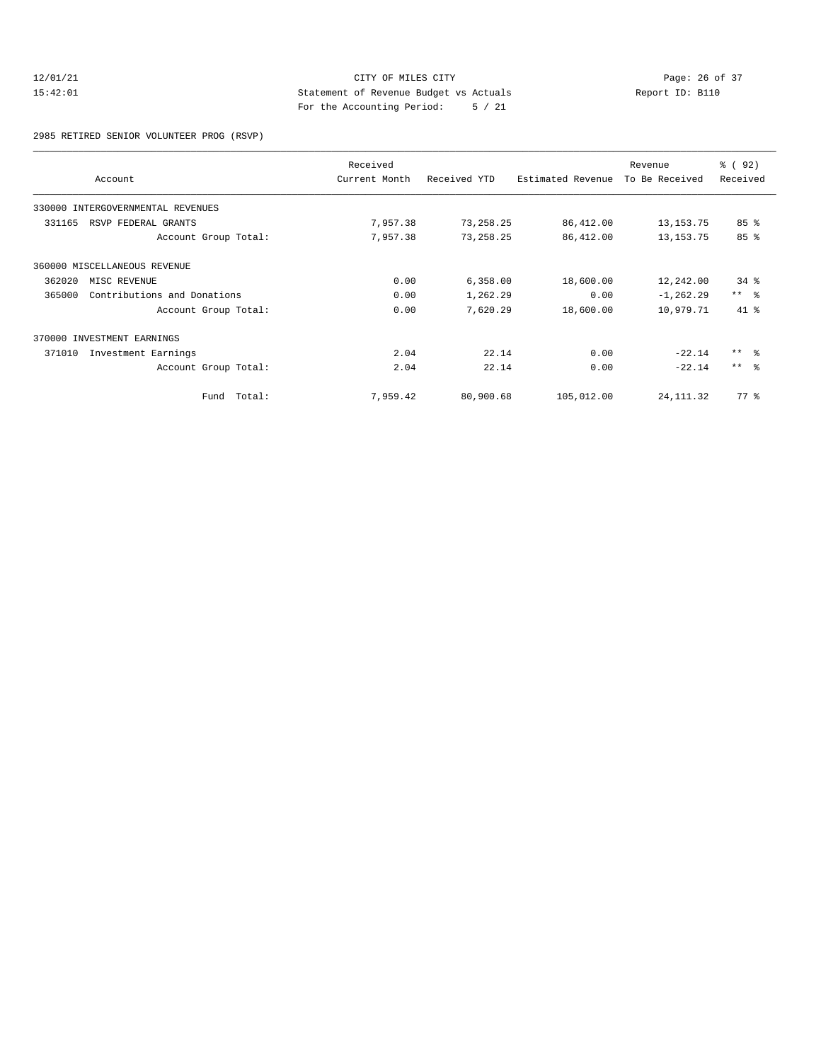## 12/01/21 Page: 26 of 37<br>15:42:01 CITY OF MILES CITY Page: 26 of 37<br>15:42:01 Statement of Revenue Budget vs Actuals Report ID: B110 15:42:01 Statement of Revenue Budget vs Actuals Report ID: B110 For the Accounting Period: 5 / 21

2985 RETIRED SENIOR VOLUNTEER PROG (RSVP)

|        | Account                           | Received<br>Current Month | Received YTD | Estimated Revenue | Revenue<br>To Be Received | % ( 92 )<br>Received |
|--------|-----------------------------------|---------------------------|--------------|-------------------|---------------------------|----------------------|
|        |                                   |                           |              |                   |                           |                      |
|        | 330000 INTERGOVERNMENTAL REVENUES |                           |              |                   |                           |                      |
| 331165 | RSVP FEDERAL GRANTS               | 7,957.38                  | 73,258.25    | 86,412.00         | 13, 153. 75               | 85%                  |
|        | Account Group Total:              | 7,957.38                  | 73,258.25    | 86,412.00         | 13, 153. 75               | 85 %                 |
|        | 360000 MISCELLANEOUS REVENUE      |                           |              |                   |                           |                      |
| 362020 | MISC REVENUE                      | 0.00                      | 6,358.00     | 18,600.00         | 12,242.00                 | $34*$                |
| 365000 | Contributions and Donations       | 0.00                      | 1,262.29     | 0.00              | $-1, 262.29$              | $***$ $-$            |
|        | Account Group Total:              | 0.00                      | 7,620.29     | 18,600.00         | 10,979.71                 | 41 %                 |
|        | 370000 INVESTMENT EARNINGS        |                           |              |                   |                           |                      |
| 371010 | Investment Earnings               | 2.04                      | 22.14        | 0.00              | $-22.14$                  | $***$ $ -$           |
|        | Account Group Total:              | 2.04                      | 22.14        | 0.00              | $-22.14$                  | $***$ $ -$           |
|        | Total:<br>Fund                    | 7,959.42                  | 80,900.68    | 105,012.00        | 24, 111.32                | $77*$                |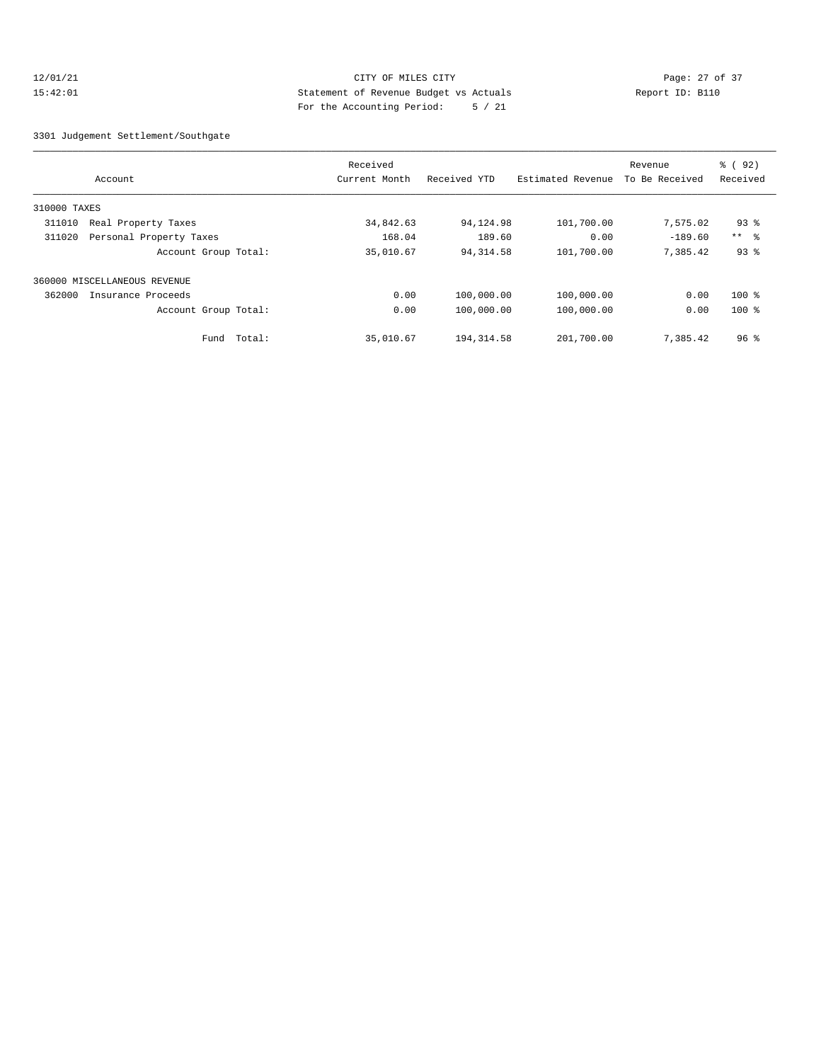## 12/01/21 Page: 27 of 37 15:42:01 Statement of Revenue Budget vs Actuals Report ID: B110 For the Accounting Period: 5 / 21

3301 Judgement Settlement/Southgate

|              | Account                      | Received<br>Current Month | Received YTD | Estimated Revenue | Revenue<br>To Be Received | % ( 92 )<br>Received |
|--------------|------------------------------|---------------------------|--------------|-------------------|---------------------------|----------------------|
| 310000 TAXES |                              |                           |              |                   |                           |                      |
| 311010       | Real Property Taxes          | 34,842.63                 | 94,124.98    | 101,700.00        | 7,575.02                  | $93$ $%$             |
| 311020       | Personal Property Taxes      | 168.04                    | 189.60       | 0.00              | $-189.60$                 | $***$ $ -$           |
|              | Account Group Total:         | 35,010.67                 | 94, 314.58   | 101,700.00        | 7,385.42                  | 93%                  |
|              | 360000 MISCELLANEOUS REVENUE |                           |              |                   |                           |                      |
| 362000       | Insurance Proceeds           | 0.00                      | 100,000.00   | 100,000.00        | 0.00                      | $100$ %              |
|              | Account Group Total:         | 0.00                      | 100,000.00   | 100,000.00        | 0.00                      | $100$ %              |
|              | Total:<br>Fund               | 35,010.67                 | 194, 314.58  | 201,700.00        | 7,385.42                  | 96 <sup>8</sup>      |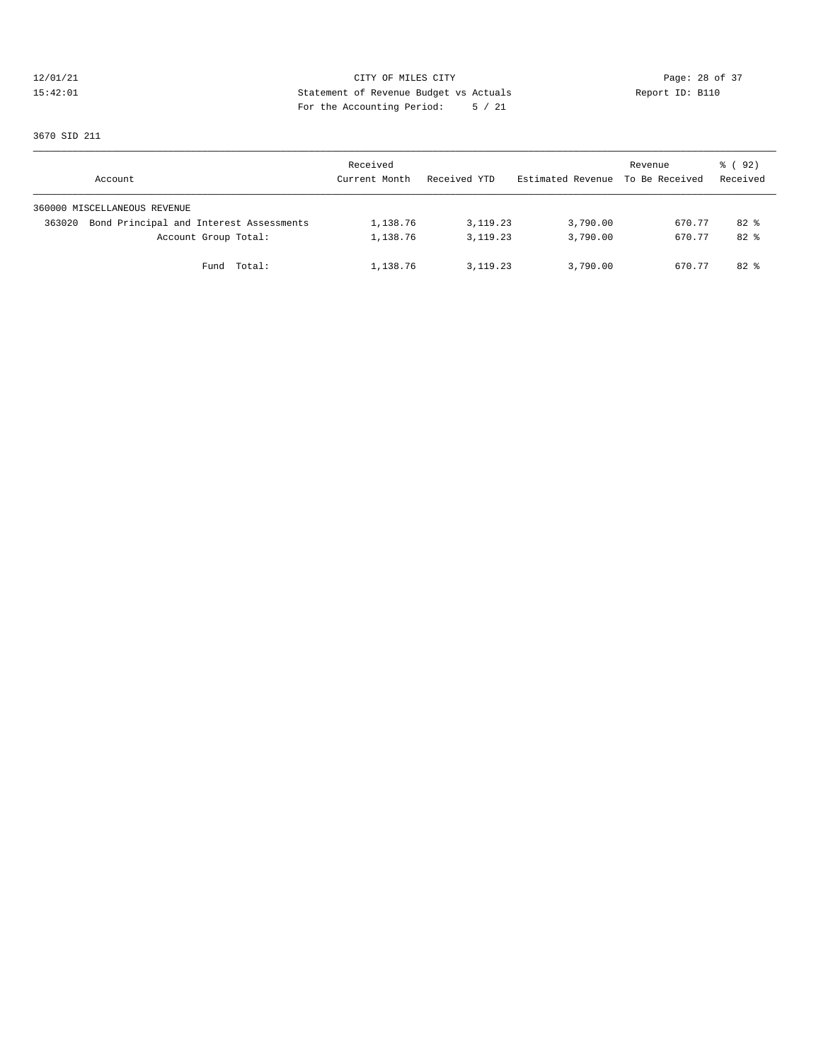## 12/01/21 CITY OF MILES CITY<br>15:42:01 Page: 28 of 37<br>15:42:01 CITY OF MILES CITY<br>15:42:01 Page: 28 of 37 15:42:01 Statement of Revenue Budget vs Actuals Report ID: B110 For the Accounting Period: 5 / 21

3670 SID 211

| Account                      |                                         | Received<br>Current Month | Received YTD | Estimated Revenue To Be Received | Revenue | 8 (92)<br>Received |
|------------------------------|-----------------------------------------|---------------------------|--------------|----------------------------------|---------|--------------------|
| 360000 MISCELLANEOUS REVENUE |                                         |                           |              |                                  |         |                    |
| 363020                       | Bond Principal and Interest Assessments | 1,138.76                  | 3, 119. 23   | 3,790.00                         | 670.77  | $82*$              |
|                              | Account Group Total:                    | 1,138.76                  | 3, 119, 23   | 3,790.00                         | 670.77  | $82*$              |
|                              | Fund Total:                             | 1,138.76                  | 3, 119, 23   | 3,790.00                         | 670.77  | $82$ $%$           |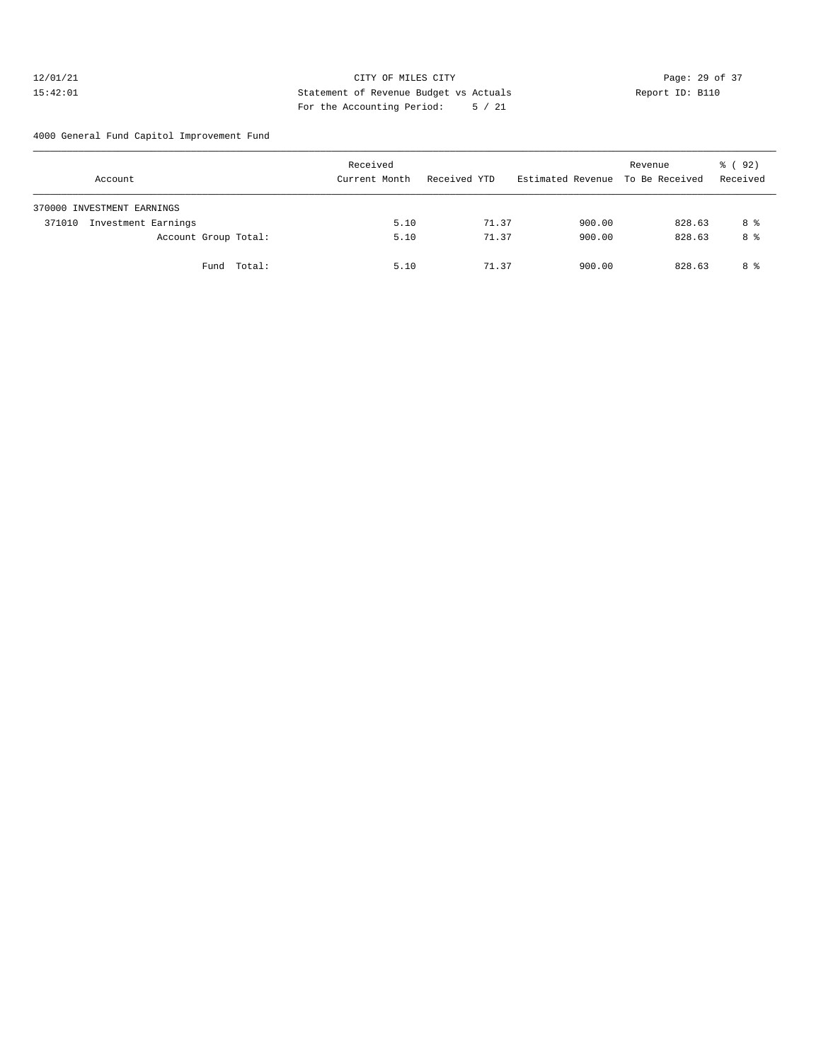## 12/01/21 Page: 29 of 37 15:42:01 Statement of Revenue Budget vs Actuals Report ID: B110 For the Accounting Period: 5 / 21

4000 General Fund Capitol Improvement Fund

| Account                       | Received<br>Current Month | Received YTD | Estimated Revenue To Be Received | Revenue | 8 (92)<br>Received |
|-------------------------------|---------------------------|--------------|----------------------------------|---------|--------------------|
| 370000 INVESTMENT EARNINGS    |                           |              |                                  |         |                    |
| Investment Earnings<br>371010 | 5.10                      | 71.37        | 900.00                           | 828.63  | 8 %                |
| Account Group Total:          | 5.10                      | 71.37        | 900.00                           | 828.63  | 8 %                |
| Fund Total:                   | 5.10                      | 71.37        | 900.00                           | 828.63  | 8 %                |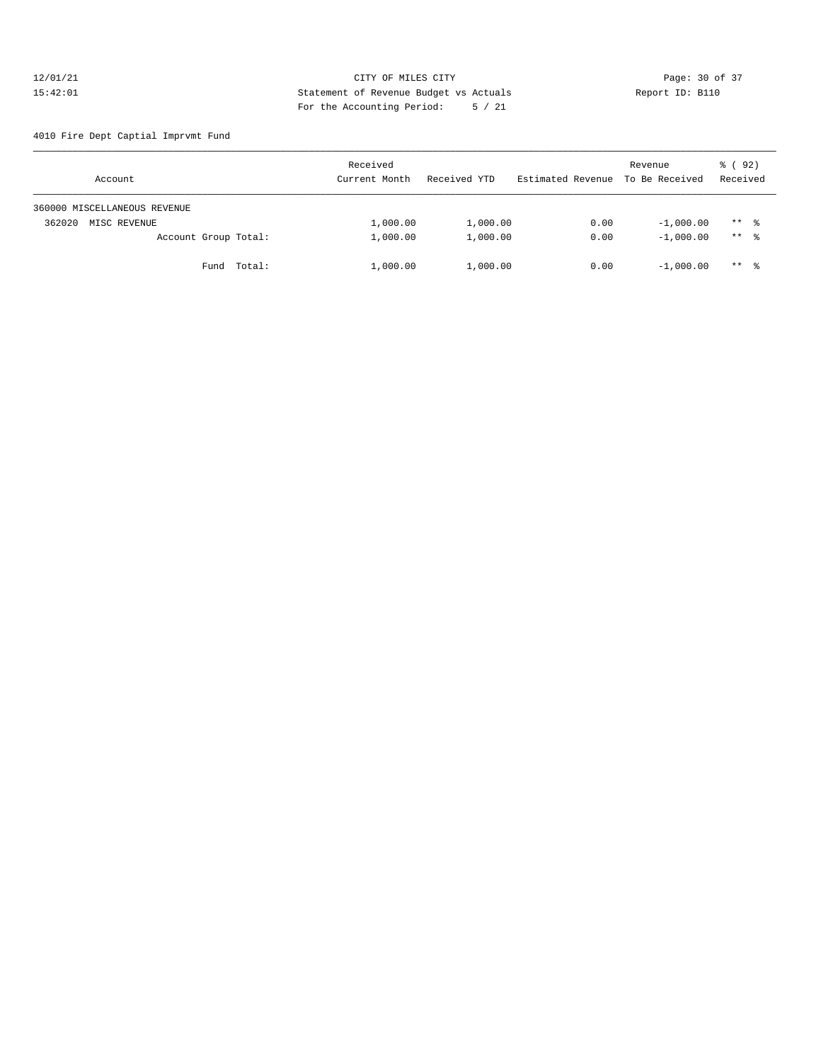## 12/01/21 Page: 30 of 37<br>15:42:01 CITY OF MILES CITY Page: 30 of 37<br>15:42:01 Statement of Revenue Budget vs Actuals Report ID: B110 15:42:01 Statement of Revenue Budget vs Actuals Report ID: B110 For the Accounting Period: 5 / 21

4010 Fire Dept Captial Imprvmt Fund

| Account                      | Received<br>Current Month | Received YTD | Estimated Revenue To Be Received | Revenue     | 8 (92)<br>Received  |
|------------------------------|---------------------------|--------------|----------------------------------|-------------|---------------------|
| 360000 MISCELLANEOUS REVENUE |                           |              |                                  |             |                     |
| 362020<br>MISC REVENUE       | 1,000.00                  | 1,000.00     | 0.00                             | $-1,000.00$ | $***$ $\frac{6}{6}$ |
| Account Group Total:         | 1,000.00                  | 1,000.00     | 0.00                             | $-1,000.00$ | $***$ $\frac{6}{6}$ |
| Fund Total:                  | 1,000.00                  | 1,000.00     | 0.00                             | $-1,000.00$ | $***$ $\frac{6}{6}$ |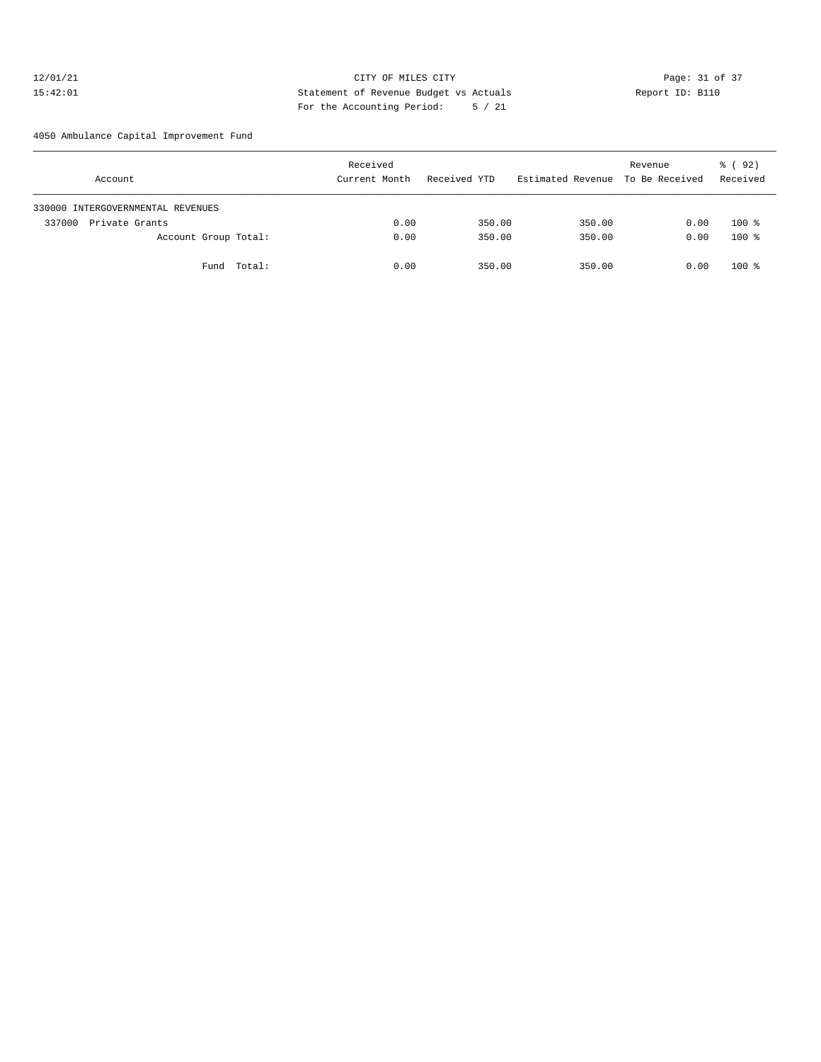## 12/01/21 Page: 31 of 37 15:42:01 Statement of Revenue Budget vs Actuals Report ID: B110 For the Accounting Period: 5 / 21

4050 Ambulance Capital Improvement Fund

| Account                           | Received<br>Current Month | Received YTD | Estimated Revenue To Be Received | Revenue | 8 (92)<br>Received |
|-----------------------------------|---------------------------|--------------|----------------------------------|---------|--------------------|
| 330000 INTERGOVERNMENTAL REVENUES |                           |              |                                  |         |                    |
| Private Grants<br>337000          | 0.00                      | 350.00       | 350.00                           | 0.00    | $100$ %            |
| Account Group Total:              | 0.00                      | 350.00       | 350.00                           | 0.00    | $100*$             |
| Fund Total:                       | 0.00                      | 350.00       | 350.00                           | 0.00    | $100$ %            |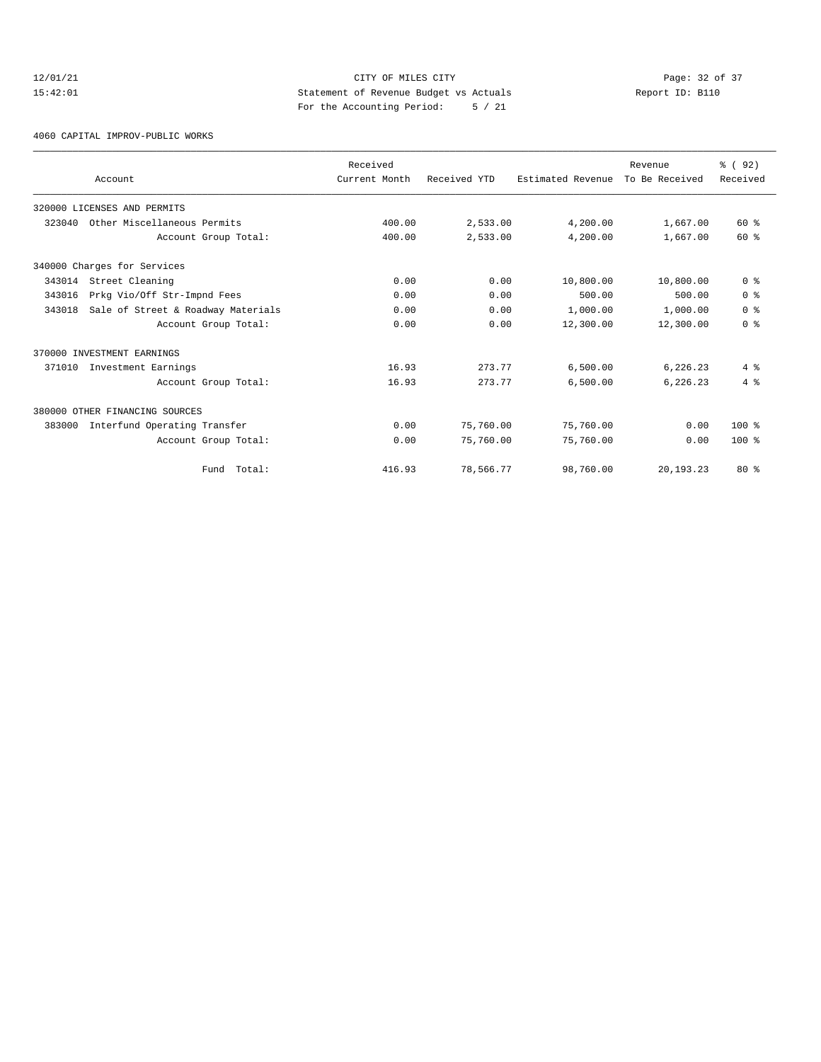## 12/01/21 CITY OF MILES CITY<br>15:42:01 Page: 32 of 37<br>15:42:01 CITY OF MILES CITY<br>15:42:01 Page: 32 of 37 15:42:01 Statement of Revenue Budget vs Actuals Report ID: B110 For the Accounting Period: 5 / 21

#### 4060 CAPITAL IMPROV-PUBLIC WORKS

|        |                                    | Received      |              |                   | Revenue        | % (92)         |
|--------|------------------------------------|---------------|--------------|-------------------|----------------|----------------|
|        | Account                            | Current Month | Received YTD | Estimated Revenue | To Be Received | Received       |
|        | 320000 LICENSES AND PERMITS        |               |              |                   |                |                |
| 323040 | Other Miscellaneous Permits        | 400.00        | 2,533.00     | 4,200.00          | 1,667.00       | $60*$          |
|        | Account Group Total:               | 400.00        | 2,533.00     | 4,200.00          | 1,667.00       | $60*$          |
|        | 340000 Charges for Services        |               |              |                   |                |                |
| 343014 | Street Cleaning                    | 0.00          | 0.00         | 10,800.00         | 10,800.00      | 0 <sup>8</sup> |
| 343016 | Prkg Vio/Off Str-Impnd Fees        | 0.00          | 0.00         | 500.00            | 500.00         | 0 <sup>8</sup> |
| 343018 | Sale of Street & Roadway Materials | 0.00          | 0.00         | 1,000.00          | 1,000.00       | 0 <sup>8</sup> |
|        | Account Group Total:               | 0.00          | 0.00         | 12,300.00         | 12,300.00      | 0 <sup>8</sup> |
|        | 370000 INVESTMENT EARNINGS         |               |              |                   |                |                |
| 371010 | Investment Earnings                | 16.93         | 273.77       | 6,500.00          | 6,226.23       | 4%             |
|        | Account Group Total:               | 16.93         | 273.77       | 6,500.00          | 6,226.23       | 4%             |
|        | 380000 OTHER FINANCING SOURCES     |               |              |                   |                |                |
| 383000 | Interfund Operating Transfer       | 0.00          | 75,760.00    | 75,760.00         | 0.00           | $100*$         |
|        | Account Group Total:               | 0.00          | 75,760.00    | 75,760.00         | 0.00           | $100*$         |
|        | Fund Total:                        | 416.93        | 78,566.77    | 98,760.00         | 20,193.23      | $80*$          |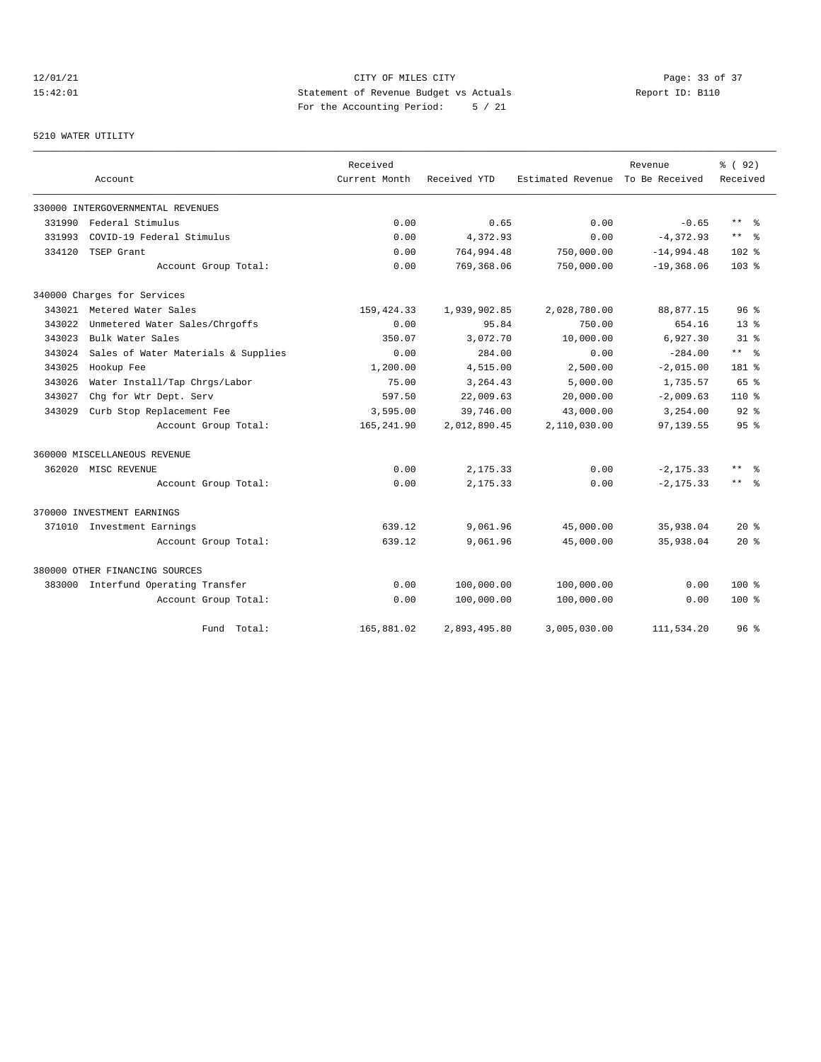# 12/01/21 CITY OF MILES CITY<br>15:42:01 Page: 33 of 37<br>15:42:01 Statement of Revenue Budget vs Actuals<br>15:42:01 15:42:01 Statement of Revenue Budget vs Actuals Report ID: B110 For the Accounting Period: 5 / 21

# 5210 WATER UTILITY

|        |                                     | Received      |              |                   | Revenue        | % ( 92)                 |
|--------|-------------------------------------|---------------|--------------|-------------------|----------------|-------------------------|
|        | Account                             | Current Month | Received YTD | Estimated Revenue | To Be Received | Received                |
|        | 330000 INTERGOVERNMENTAL REVENUES   |               |              |                   |                |                         |
| 331990 | Federal Stimulus                    | 0.00          | 0.65         | 0.00              | $-0.65$        | $***$ $=$ $\frac{6}{5}$ |
| 331993 | COVID-19 Federal Stimulus           | 0.00          | 4,372.93     | 0.00              | $-4,372.93$    | $***$ %                 |
| 334120 | TSEP Grant                          | 0.00          | 764,994.48   | 750,000.00        | $-14,994.48$   | 102 <sub>8</sub>        |
|        | Account Group Total:                | 0.00          | 769,368.06   | 750,000.00        | $-19,368.06$   | 103 <sub>8</sub>        |
|        | 340000 Charges for Services         |               |              |                   |                |                         |
|        | 343021 Metered Water Sales          | 159, 424.33   | 1,939,902.85 | 2,028,780.00      | 88,877.15      | 96 <sup>°</sup>         |
| 343022 | Unmetered Water Sales/Chrgoffs      | 0.00          | 95.84        | 750.00            | 654.16         | $13*$                   |
| 343023 | Bulk Water Sales                    | 350.07        | 3,072.70     | 10,000.00         | 6,927.30       | $31*$                   |
| 343024 | Sales of Water Materials & Supplies | 0.00          | 284.00       | 0.00              | $-284.00$      | $***$ $=$               |
| 343025 | Hookup Fee                          | 1,200.00      | 4,515.00     | 2,500.00          | $-2,015.00$    | 181 %                   |
| 343026 | Water Install/Tap Chrgs/Labor       | 75.00         | 3,264.43     | 5,000.00          | 1,735.57       | $65$ $%$                |
| 343027 | Chg for Wtr Dept. Serv              | 597.50        | 22,009.63    | 20,000.00         | $-2,009.63$    | $110*$                  |
| 343029 | Curb Stop Replacement Fee           | 3,595.00      | 39,746.00    | 43,000.00         | 3,254.00       | $92$ $%$                |
|        | Account Group Total:                | 165,241.90    | 2,012,890.45 | 2,110,030.00      | 97,139.55      | 95%                     |
|        | 360000 MISCELLANEOUS REVENUE        |               |              |                   |                |                         |
|        | 362020 MISC REVENUE                 | 0.00          | 2,175.33     | 0.00              | $-2, 175.33$   | ** 왕                    |
|        | Account Group Total:                | 0.00          | 2,175.33     | 0.00              | $-2, 175.33$   | ** 왕                    |
|        | 370000 INVESTMENT EARNINGS          |               |              |                   |                |                         |
|        | 371010 Investment Earnings          | 639.12        | 9,061.96     | 45,000.00         | 35,938.04      | $20*$                   |
|        | Account Group Total:                | 639.12        | 9,061.96     | 45,000.00         | 35,938.04      | $20*$                   |
|        | 380000 OTHER FINANCING SOURCES      |               |              |                   |                |                         |
|        | 383000 Interfund Operating Transfer | 0.00          | 100,000.00   | 100,000.00        | 0.00           | $100$ %                 |
|        | Account Group Total:                | 0.00          | 100,000.00   | 100,000.00        | 0.00           | $100*$                  |
|        | Total:<br>Fund                      | 165,881.02    | 2,893,495.80 | 3,005,030.00      | 111,534.20     | $96*$                   |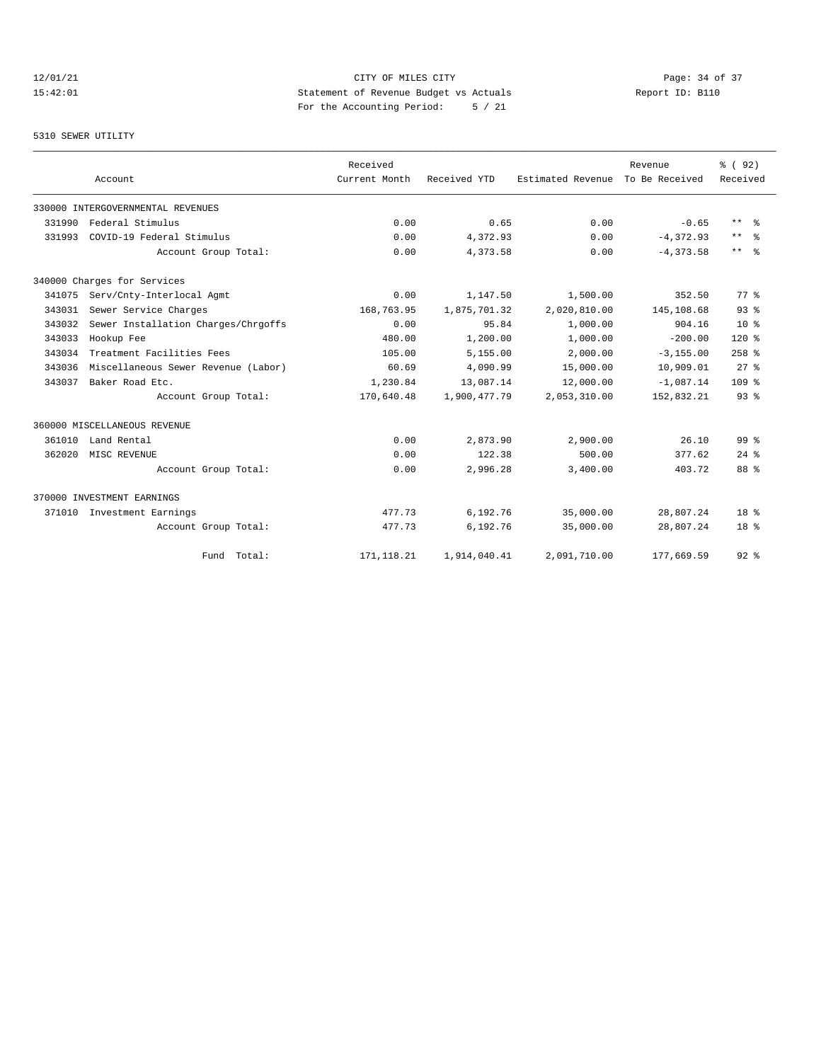## 12/01/21 CITY OF MILES CITY<br>15:42:01 Page: 34 of 37<br>15:42:01 Statement of Revenue Budget vs Actuals<br>17:42:01 15:42:01 Statement of Revenue Budget vs Actuals Report ID: B110 For the Accounting Period: 5 / 21

5310 SEWER UTILITY

|        | Account                             | Received<br>Current Month | Received YTD | Estimated Revenue | Revenue<br>To Be Received | % ( 92)<br>Received |
|--------|-------------------------------------|---------------------------|--------------|-------------------|---------------------------|---------------------|
|        | 330000 INTERGOVERNMENTAL REVENUES   |                           |              |                   |                           |                     |
| 331990 | Federal Stimulus                    | 0.00                      | 0.65         | 0.00              | $-0.65$                   | $***$ $ -$          |
| 331993 | COVID-19 Federal Stimulus           | 0.00                      | 4,372.93     | 0.00              | $-4, 372.93$              | $\star\star$<br>ം ക |
|        | Account Group Total:                | 0.00                      | 4,373.58     | 0.00              | $-4, 373.58$              | $\star\star$<br>- 왕 |
|        | 340000 Charges for Services         |                           |              |                   |                           |                     |
| 341075 | Serv/Cnty-Interlocal Agmt           | 0.00                      | 1,147.50     | 1,500.00          | 352.50                    | 77.8                |
| 343031 | Sewer Service Charges               | 168,763.95                | 1,875,701.32 | 2,020,810.00      | 145,108.68                | 93%                 |
| 343032 | Sewer Installation Charges/Chrgoffs | 0.00                      | 95.84        | 1,000.00          | 904.16                    | 10 <sup>8</sup>     |
| 343033 | Hookup Fee                          | 480.00                    | 1,200.00     | 1,000.00          | $-200.00$                 | $120*$              |
| 343034 | Treatment Facilities Fees           | 105.00                    | 5,155.00     | 2,000.00          | $-3, 155.00$              | $258$ $%$           |
| 343036 | Miscellaneous Sewer Revenue (Labor) | 60.69                     | 4,090.99     | 15,000.00         | 10,909.01                 | $27$ $%$            |
| 343037 | Baker Road Etc.                     | 1,230.84                  | 13,087.14    | 12,000.00         | $-1,087.14$               | 109 %               |
|        | Account Group Total:                | 170,640.48                | 1,900,477.79 | 2,053,310.00      | 152,832.21                | 93 <sup>8</sup>     |
|        | 360000 MISCELLANEOUS REVENUE        |                           |              |                   |                           |                     |
| 361010 | Land Rental                         | 0.00                      | 2,873.90     | 2,900.00          | 26.10                     | 99 <sup>8</sup>     |
| 362020 | MISC REVENUE                        | 0.00                      | 122.38       | 500.00            | 377.62                    | $24$ $%$            |
|        | Account Group Total:                | 0.00                      | 2,996.28     | 3,400.00          | 403.72                    | 88 %                |
|        | 370000 INVESTMENT EARNINGS          |                           |              |                   |                           |                     |
| 371010 | Investment Earnings                 | 477.73                    | 6,192.76     | 35,000.00         | 28,807.24                 | 18 <sup>8</sup>     |
|        | Account Group Total:                | 477.73                    | 6,192.76     | 35,000.00         | 28,807.24                 | 18 <sup>8</sup>     |
|        | Fund Total:                         | 171, 118.21               | 1,914,040.41 | 2,091,710.00      | 177,669.59                | $92$ $%$            |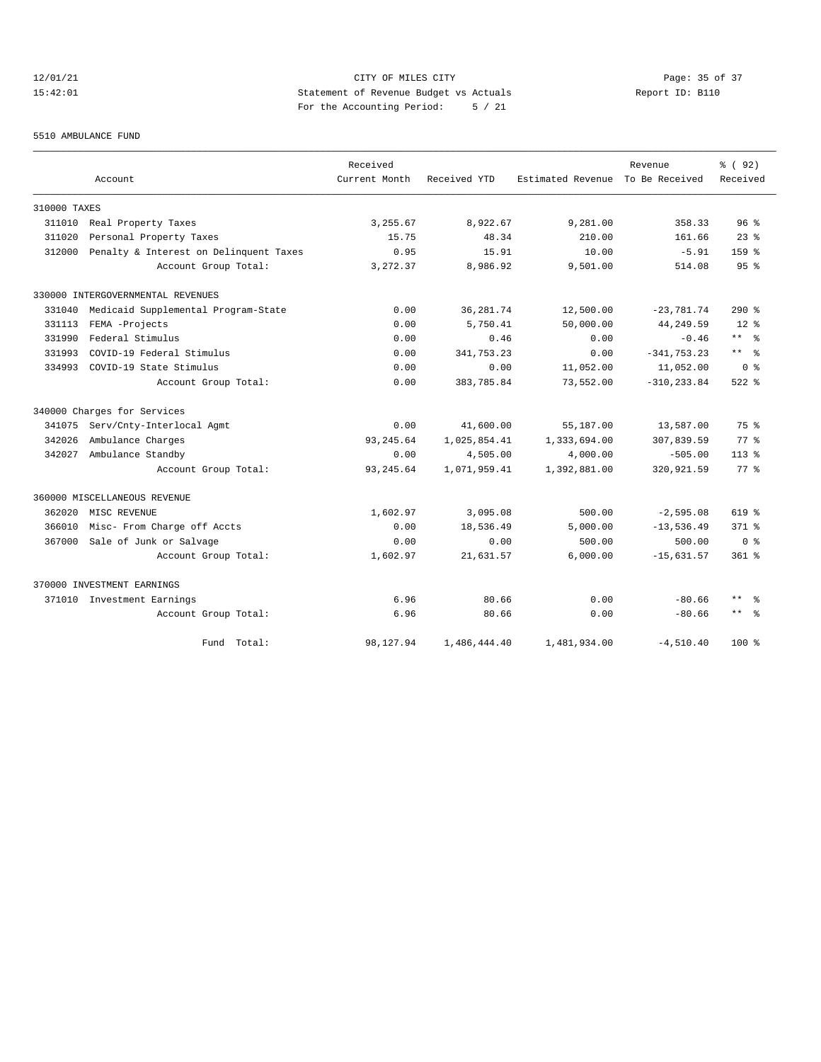## 12/01/21 Page: 35 of 37 15:42:01 Statement of Revenue Budget vs Actuals Report ID: B110 For the Accounting Period: 5 / 21

#### 5510 AMBULANCE FUND

|              |                                        | Received      |              |                   | Revenue        | % ( 92)             |
|--------------|----------------------------------------|---------------|--------------|-------------------|----------------|---------------------|
|              | Account                                | Current Month | Received YTD | Estimated Revenue | To Be Received | Received            |
| 310000 TAXES |                                        |               |              |                   |                |                     |
| 311010       | Real Property Taxes                    | 3,255.67      | 8,922.67     | 9,281.00          | 358.33         | 96 <sup>8</sup>     |
| 311020       | Personal Property Taxes                | 15.75         | 48.34        | 210.00            | 161.66         | $23*$               |
| 312000       | Penalty & Interest on Delinquent Taxes | 0.95          | 15.91        | 10.00             | $-5.91$        | 159 <sub>8</sub>    |
|              | Account Group Total:                   | 3, 272.37     | 8,986.92     | 9,501.00          | 514.08         | 95 <sup>°</sup>     |
|              | 330000 INTERGOVERNMENTAL REVENUES      |               |              |                   |                |                     |
| 331040       | Medicaid Supplemental Program-State    | 0.00          | 36,281.74    | 12,500.00         | $-23,781.74$   | $290*$              |
| 331113       | FEMA -Projects                         | 0.00          | 5,750.41     | 50,000.00         | 44,249.59      | $12*$               |
| 331990       | Federal Stimulus                       | 0.00          | 0.46         | 0.00              | $-0.46$        | $***$ %             |
| 331993       | COVID-19 Federal Stimulus              | 0.00          | 341,753.23   | 0.00              | $-341, 753.23$ | $***$ %             |
| 334993       | COVID-19 State Stimulus                | 0.00          | 0.00         | 11,052.00         | 11,052.00      | 0 <sup>8</sup>      |
|              | Account Group Total:                   | 0.00          | 383,785.84   | 73,552.00         | $-310, 233.84$ | $522$ $%$           |
|              | 340000 Charges for Services            |               |              |                   |                |                     |
| 341075       | Serv/Cnty-Interlocal Agmt              | 0.00          | 41,600.00    | 55,187.00         | 13,587.00      | 75 %                |
| 342026       | Ambulance Charges                      | 93, 245.64    | 1,025,854.41 | 1,333,694.00      | 307,839.59     | $77$ $%$            |
| 342027       | Ambulance Standby                      | 0.00          | 4,505.00     | 4,000.00          | $-505.00$      | $113*$              |
|              | Account Group Total:                   | 93, 245.64    | 1,071,959.41 | 1,392,881.00      | 320,921.59     | $77*$               |
|              | 360000 MISCELLANEOUS REVENUE           |               |              |                   |                |                     |
| 362020       | MISC REVENUE                           | 1,602.97      | 3,095.08     | 500.00            | $-2,595.08$    | $619$ %             |
| 366010       | Misc- From Charge off Accts            | 0.00          | 18,536.49    | 5,000.00          | $-13,536.49$   | $371$ $%$           |
| 367000       | Sale of Junk or Salvage                | 0.00          | 0.00         | 500.00            | 500.00         | 0 <sup>8</sup>      |
|              | Account Group Total:                   | 1,602.97      | 21,631.57    | 6,000.00          | $-15,631.57$   | $361$ $%$           |
|              | 370000 INVESTMENT EARNINGS             |               |              |                   |                |                     |
|              | 371010 Investment Earnings             | 6.96          | 80.66        | 0.00              | $-80.66$       | $\star\star$<br>- 왕 |
|              | Account Group Total:                   | 6.96          | 80.66        | 0.00              | $-80.66$       | $***$ $ -$          |
|              | Fund Total:                            | 98,127.94     | 1,486,444.40 | 1,481,934.00      | $-4,510.40$    | $100*$              |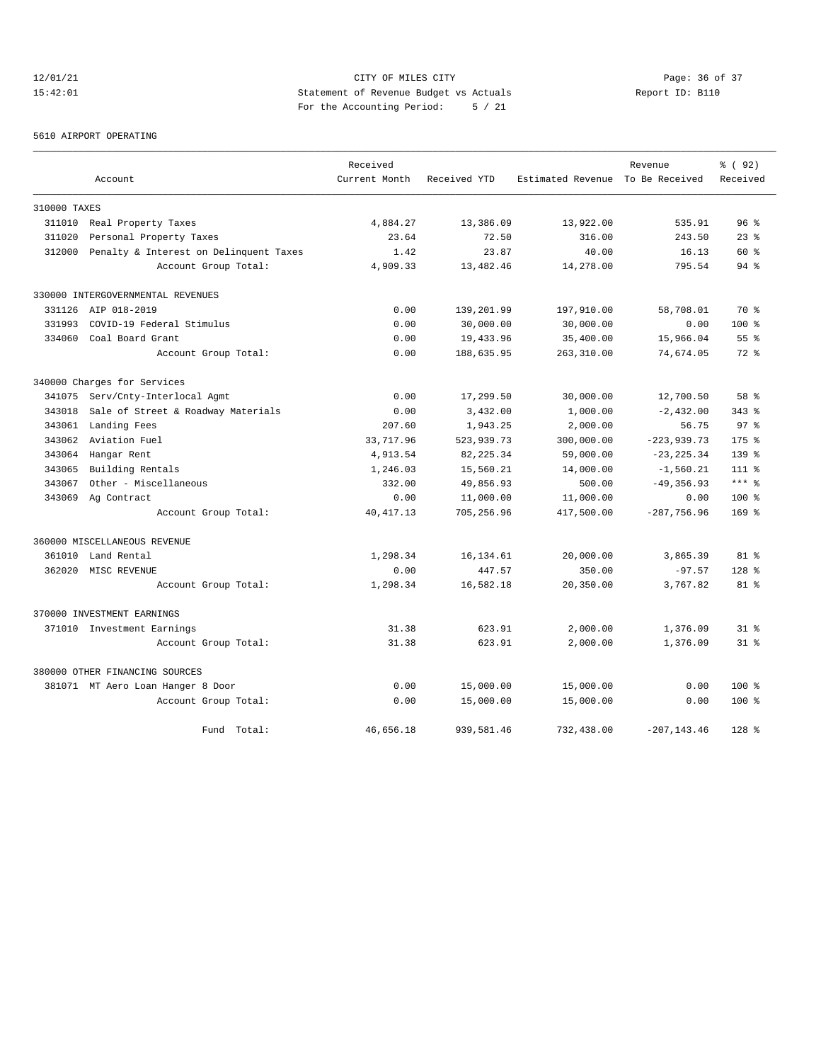## 12/01/21 CITY OF MILES CITY Page: 36 of 37 15:42:01 Statement of Revenue Budget vs Actuals Report ID: B110 For the Accounting Period: 5 / 21

#### 5610 AIRPORT OPERATING

|              |                                        | Received      |              |                                  | Revenue        | % ( 92 )        |
|--------------|----------------------------------------|---------------|--------------|----------------------------------|----------------|-----------------|
|              | Account                                | Current Month | Received YTD | Estimated Revenue To Be Received |                | Received        |
| 310000 TAXES |                                        |               |              |                                  |                |                 |
| 311010       | Real Property Taxes                    | 4,884.27      | 13,386.09    | 13,922.00                        | 535.91         | 96 <sup>8</sup> |
| 311020       | Personal Property Taxes                | 23.64         | 72.50        | 316.00                           | 243.50         | $23$ $%$        |
| 312000       | Penalty & Interest on Delinquent Taxes | 1.42          | 23.87        | 40.00                            | 16.13          | 60 %            |
|              | Account Group Total:                   | 4,909.33      | 13,482.46    | 14,278.00                        | 795.54         | $94$ $%$        |
|              | 330000 INTERGOVERNMENTAL REVENUES      |               |              |                                  |                |                 |
|              | 331126 AIP 018-2019                    | 0.00          | 139,201.99   | 197,910.00                       | 58,708.01      | 70 %            |
| 331993       | COVID-19 Federal Stimulus              | 0.00          | 30,000.00    | 30,000.00                        | 0.00           | 100 %           |
|              | 334060 Coal Board Grant                | 0.00          | 19,433.96    | 35,400.00                        | 15,966.04      | 55 <sup>8</sup> |
|              | Account Group Total:                   | 0.00          | 188,635.95   | 263,310.00                       | 74,674.05      | $72*$           |
|              | 340000 Charges for Services            |               |              |                                  |                |                 |
| 341075       | Serv/Cnty-Interlocal Agmt              | 0.00          | 17,299.50    | 30,000.00                        | 12,700.50      | 58 <sup>8</sup> |
| 343018       | Sale of Street & Roadway Materials     | 0.00          | 3,432.00     | 1,000.00                         | $-2,432.00$    | $343$ $%$       |
| 343061       | Landing Fees                           | 207.60        | 1,943.25     | 2,000.00                         | 56.75          | 97 <sup>8</sup> |
| 343062       | Aviation Fuel                          | 33,717.96     | 523,939.73   | 300,000.00                       | $-223,939.73$  | $175$ $%$       |
| 343064       | Hangar Rent                            | 4,913.54      | 82, 225.34   | 59,000.00                        | $-23, 225.34$  | $139$ $%$       |
| 343065       | Building Rentals                       | 1,246.03      | 15,560.21    | 14,000.00                        | $-1,560.21$    | $111*$          |
| 343067       | Other - Miscellaneous                  | 332.00        | 49,856.93    | 500.00                           | $-49, 356.93$  | $***$ %         |
| 343069       | Ag Contract                            | 0.00          | 11,000.00    | 11,000.00                        | 0.00           | 100 %           |
|              | Account Group Total:                   | 40, 417.13    | 705,256.96   | 417,500.00                       | $-287,756.96$  | $169$ %         |
|              | 360000 MISCELLANEOUS REVENUE           |               |              |                                  |                |                 |
| 361010       | Land Rental                            | 1,298.34      | 16,134.61    | 20,000.00                        | 3,865.39       | $81 - 8$        |
|              | 362020 MISC REVENUE                    | 0.00          | 447.57       | 350.00                           | $-97.57$       | $128$ %         |
|              | Account Group Total:                   | 1,298.34      | 16,582.18    | 20,350.00                        | 3,767.82       | $81*$           |
|              | 370000 INVESTMENT EARNINGS             |               |              |                                  |                |                 |
|              | 371010 Investment Earnings             | 31.38         | 623.91       | 2,000.00                         | 1,376.09       | $31*$           |
|              | Account Group Total:                   | 31.38         | 623.91       | 2,000.00                         | 1,376.09       | $31*$           |
|              | 380000 OTHER FINANCING SOURCES         |               |              |                                  |                |                 |
|              | 381071 MT Aero Loan Hanger 8 Door      | 0.00          | 15,000.00    | 15,000.00                        | 0.00           | $100$ %         |
|              | Account Group Total:                   | 0.00          | 15,000.00    | 15,000.00                        | 0.00           | 100 %           |
|              | Fund Total:                            | 46,656.18     | 939,581.46   | 732,438.00                       | $-207, 143.46$ | $128$ %         |